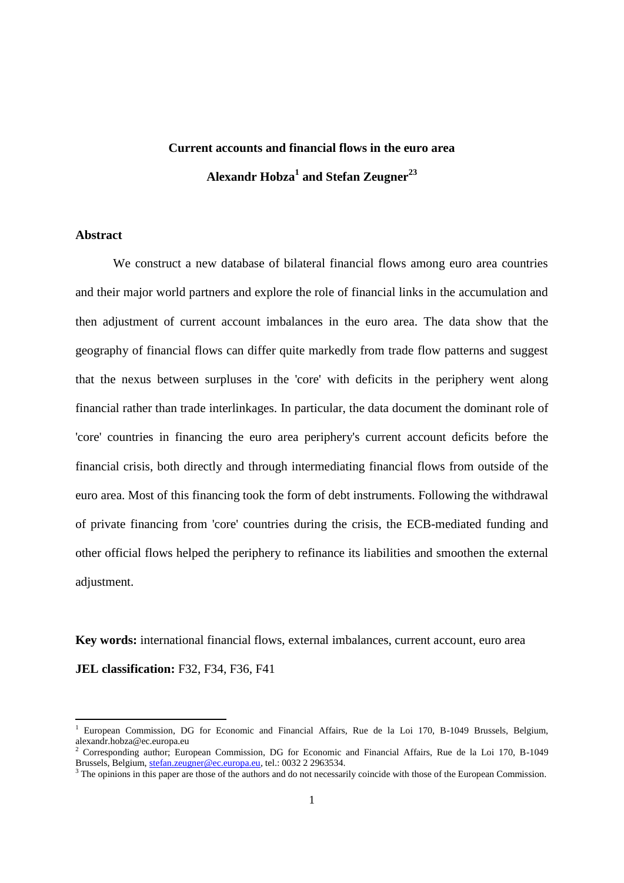# **Current accounts and financial flows in the euro area Alexandr Hobza<sup>1</sup> and Stefan Zeugner<sup>23</sup>**

# **Abstract**

We construct a new database of bilateral financial flows among euro area countries and their major world partners and explore the role of financial links in the accumulation and then adjustment of current account imbalances in the euro area. The data show that the geography of financial flows can differ quite markedly from trade flow patterns and suggest that the nexus between surpluses in the 'core' with deficits in the periphery went along financial rather than trade interlinkages. In particular, the data document the dominant role of 'core' countries in financing the euro area periphery's current account deficits before the financial crisis, both directly and through intermediating financial flows from outside of the euro area. Most of this financing took the form of debt instruments. Following the withdrawal of private financing from 'core' countries during the crisis, the ECB-mediated funding and other official flows helped the periphery to refinance its liabilities and smoothen the external adjustment.

**Key words:** international financial flows, external imbalances, current account, euro area

**JEL classification:** F32, F34, F36, F41

<sup>&</sup>lt;sup>1</sup> European Commission, DG for Economic and Financial Affairs, Rue de la Loi 170, B-1049 Brussels, Belgium, alexandr.hobza@ec.europa.eu

<sup>&</sup>lt;sup>2</sup> Corresponding author; European Commission, DG for Economic and Financial Affairs, Rue de la Loi 170, B-1049 Brussels, Belgium[, stefan.zeugner@ec.europa.eu,](mailto:stefan.zeugner@ec.europa.eu) tel.: 0032 2 2963534.

<sup>&</sup>lt;sup>3</sup> The opinions in this paper are those of the authors and do not necessarily coincide with those of the European Commission.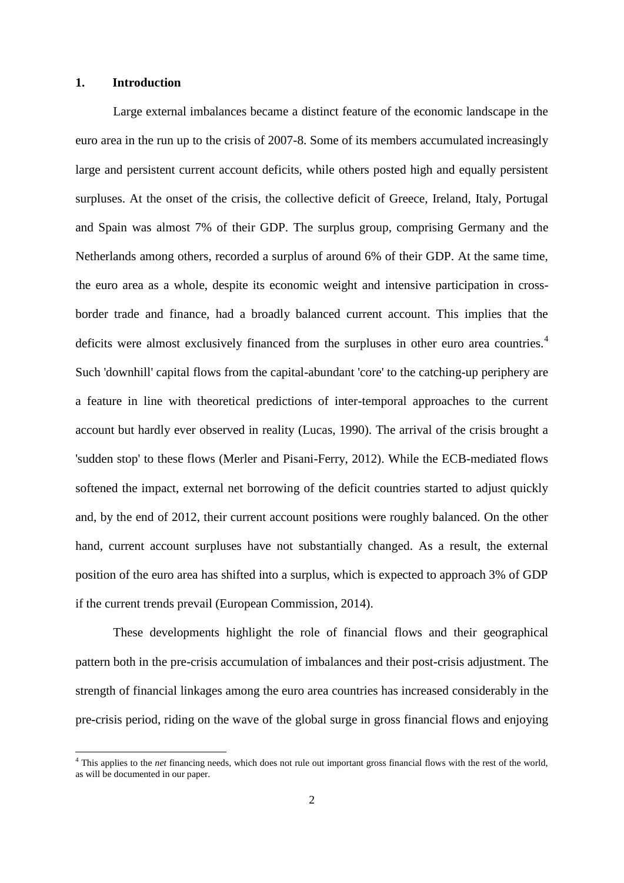### **1. Introduction**

**.** 

Large external imbalances became a distinct feature of the economic landscape in the euro area in the run up to the crisis of 2007-8. Some of its members accumulated increasingly large and persistent current account deficits, while others posted high and equally persistent surpluses. At the onset of the crisis, the collective deficit of Greece, Ireland, Italy, Portugal and Spain was almost 7% of their GDP. The surplus group, comprising Germany and the Netherlands among others, recorded a surplus of around 6% of their GDP. At the same time, the euro area as a whole, despite its economic weight and intensive participation in crossborder trade and finance, had a broadly balanced current account. This implies that the deficits were almost exclusively financed from the surpluses in other euro area countries.<sup>4</sup> Such 'downhill' capital flows from the capital-abundant 'core' to the catching-up periphery are a feature in line with theoretical predictions of inter-temporal approaches to the current account but hardly ever observed in reality (Lucas, 1990). The arrival of the crisis brought a 'sudden stop' to these flows (Merler and Pisani-Ferry, 2012). While the ECB-mediated flows softened the impact, external net borrowing of the deficit countries started to adjust quickly and, by the end of 2012, their current account positions were roughly balanced. On the other hand, current account surpluses have not substantially changed. As a result, the external position of the euro area has shifted into a surplus, which is expected to approach 3% of GDP if the current trends prevail (European Commission, 2014).

These developments highlight the role of financial flows and their geographical pattern both in the pre-crisis accumulation of imbalances and their post-crisis adjustment. The strength of financial linkages among the euro area countries has increased considerably in the pre-crisis period, riding on the wave of the global surge in gross financial flows and enjoying

<sup>&</sup>lt;sup>4</sup> This applies to the *net* financing needs, which does not rule out important gross financial flows with the rest of the world, as will be documented in our paper.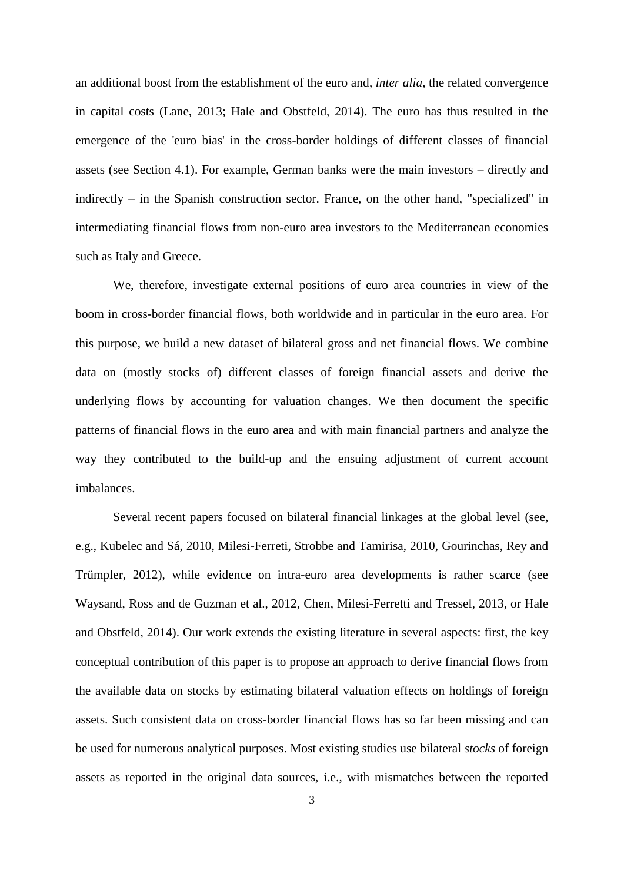an additional boost from the establishment of the euro and, *inter alia*, the related convergence in capital costs (Lane, 2013; Hale and Obstfeld, 2014). The euro has thus resulted in the emergence of the 'euro bias' in the cross-border holdings of different classes of financial assets (see Section 4.1). For example, German banks were the main investors – directly and indirectly – in the Spanish construction sector. France, on the other hand, "specialized" in intermediating financial flows from non-euro area investors to the Mediterranean economies such as Italy and Greece.

We, therefore, investigate external positions of euro area countries in view of the boom in cross-border financial flows, both worldwide and in particular in the euro area. For this purpose, we build a new dataset of bilateral gross and net financial flows. We combine data on (mostly stocks of) different classes of foreign financial assets and derive the underlying flows by accounting for valuation changes. We then document the specific patterns of financial flows in the euro area and with main financial partners and analyze the way they contributed to the build-up and the ensuing adjustment of current account imbalances.

Several recent papers focused on bilateral financial linkages at the global level (see, e.g., Kubelec and Sá, 2010, Milesi-Ferreti, Strobbe and Tamirisa, 2010, Gourinchas, Rey and Trümpler, 2012), while evidence on intra-euro area developments is rather scarce (see Waysand, Ross and de Guzman et al., 2012, Chen, Milesi-Ferretti and Tressel, 2013, or Hale and Obstfeld, 2014). Our work extends the existing literature in several aspects: first, the key conceptual contribution of this paper is to propose an approach to derive financial flows from the available data on stocks by estimating bilateral valuation effects on holdings of foreign assets. Such consistent data on cross-border financial flows has so far been missing and can be used for numerous analytical purposes. Most existing studies use bilateral *stocks* of foreign assets as reported in the original data sources, i.e., with mismatches between the reported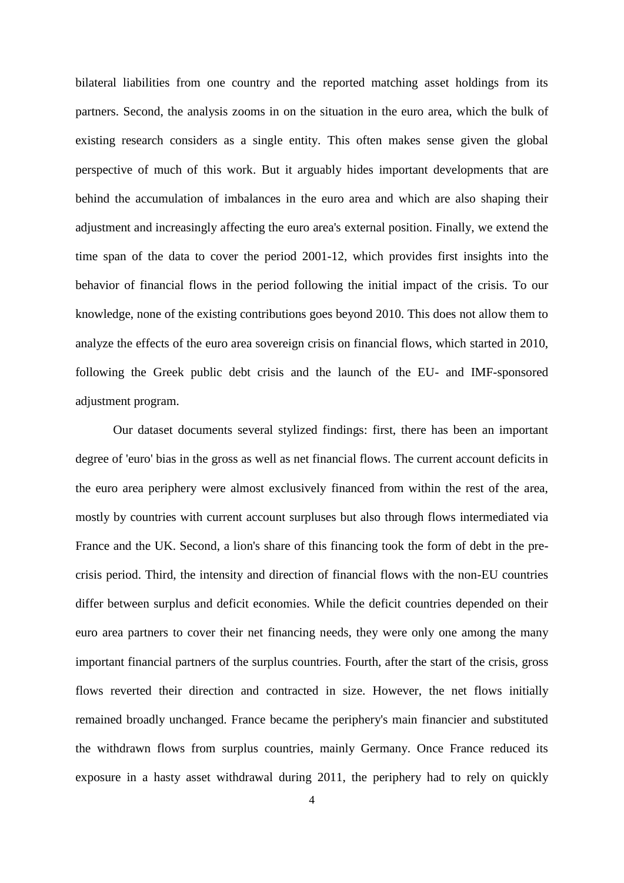bilateral liabilities from one country and the reported matching asset holdings from its partners. Second, the analysis zooms in on the situation in the euro area, which the bulk of existing research considers as a single entity. This often makes sense given the global perspective of much of this work. But it arguably hides important developments that are behind the accumulation of imbalances in the euro area and which are also shaping their adjustment and increasingly affecting the euro area's external position. Finally, we extend the time span of the data to cover the period 2001-12, which provides first insights into the behavior of financial flows in the period following the initial impact of the crisis. To our knowledge, none of the existing contributions goes beyond 2010. This does not allow them to analyze the effects of the euro area sovereign crisis on financial flows, which started in 2010, following the Greek public debt crisis and the launch of the EU- and IMF-sponsored adjustment program.

Our dataset documents several stylized findings: first, there has been an important degree of 'euro' bias in the gross as well as net financial flows. The current account deficits in the euro area periphery were almost exclusively financed from within the rest of the area, mostly by countries with current account surpluses but also through flows intermediated via France and the UK. Second, a lion's share of this financing took the form of debt in the precrisis period. Third, the intensity and direction of financial flows with the non-EU countries differ between surplus and deficit economies. While the deficit countries depended on their euro area partners to cover their net financing needs, they were only one among the many important financial partners of the surplus countries. Fourth, after the start of the crisis, gross flows reverted their direction and contracted in size. However, the net flows initially remained broadly unchanged. France became the periphery's main financier and substituted the withdrawn flows from surplus countries, mainly Germany. Once France reduced its exposure in a hasty asset withdrawal during 2011, the periphery had to rely on quickly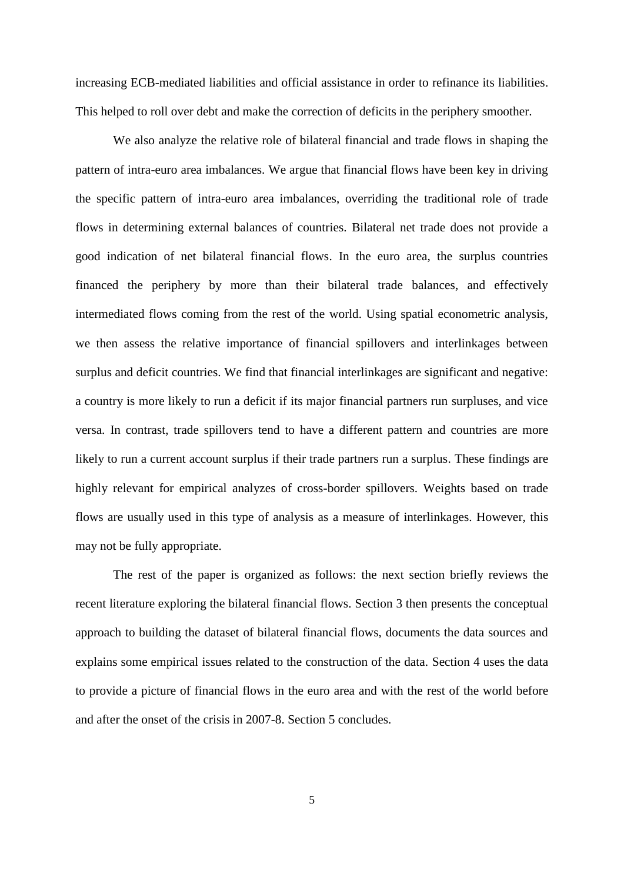increasing ECB-mediated liabilities and official assistance in order to refinance its liabilities. This helped to roll over debt and make the correction of deficits in the periphery smoother.

We also analyze the relative role of bilateral financial and trade flows in shaping the pattern of intra-euro area imbalances. We argue that financial flows have been key in driving the specific pattern of intra-euro area imbalances, overriding the traditional role of trade flows in determining external balances of countries. Bilateral net trade does not provide a good indication of net bilateral financial flows. In the euro area, the surplus countries financed the periphery by more than their bilateral trade balances, and effectively intermediated flows coming from the rest of the world. Using spatial econometric analysis, we then assess the relative importance of financial spillovers and interlinkages between surplus and deficit countries. We find that financial interlinkages are significant and negative: a country is more likely to run a deficit if its major financial partners run surpluses, and vice versa. In contrast, trade spillovers tend to have a different pattern and countries are more likely to run a current account surplus if their trade partners run a surplus. These findings are highly relevant for empirical analyzes of cross-border spillovers. Weights based on trade flows are usually used in this type of analysis as a measure of interlinkages. However, this may not be fully appropriate.

The rest of the paper is organized as follows: the next section briefly reviews the recent literature exploring the bilateral financial flows. Section 3 then presents the conceptual approach to building the dataset of bilateral financial flows, documents the data sources and explains some empirical issues related to the construction of the data. Section 4 uses the data to provide a picture of financial flows in the euro area and with the rest of the world before and after the onset of the crisis in 2007-8. Section 5 concludes.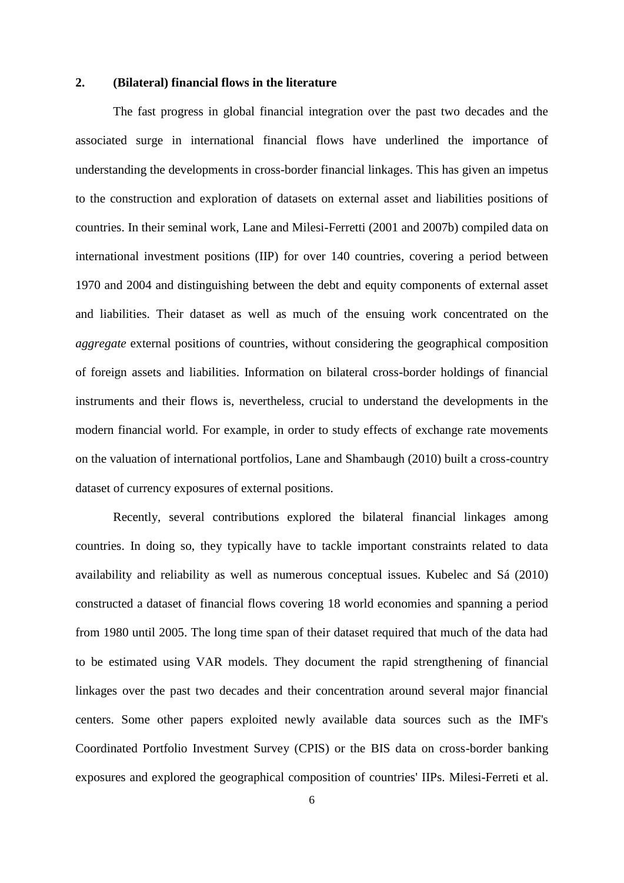### **2. (Bilateral) financial flows in the literature**

The fast progress in global financial integration over the past two decades and the associated surge in international financial flows have underlined the importance of understanding the developments in cross-border financial linkages. This has given an impetus to the construction and exploration of datasets on external asset and liabilities positions of countries. In their seminal work, Lane and Milesi-Ferretti (2001 and 2007b) compiled data on international investment positions (IIP) for over 140 countries, covering a period between 1970 and 2004 and distinguishing between the debt and equity components of external asset and liabilities. Their dataset as well as much of the ensuing work concentrated on the *aggregate* external positions of countries, without considering the geographical composition of foreign assets and liabilities. Information on bilateral cross-border holdings of financial instruments and their flows is, nevertheless, crucial to understand the developments in the modern financial world. For example, in order to study effects of exchange rate movements on the valuation of international portfolios, Lane and Shambaugh (2010) built a cross-country dataset of currency exposures of external positions.

Recently, several contributions explored the bilateral financial linkages among countries. In doing so, they typically have to tackle important constraints related to data availability and reliability as well as numerous conceptual issues. Kubelec and Sá (2010) constructed a dataset of financial flows covering 18 world economies and spanning a period from 1980 until 2005. The long time span of their dataset required that much of the data had to be estimated using VAR models. They document the rapid strengthening of financial linkages over the past two decades and their concentration around several major financial centers. Some other papers exploited newly available data sources such as the IMF's Coordinated Portfolio Investment Survey (CPIS) or the BIS data on cross-border banking exposures and explored the geographical composition of countries' IIPs. Milesi-Ferreti et al.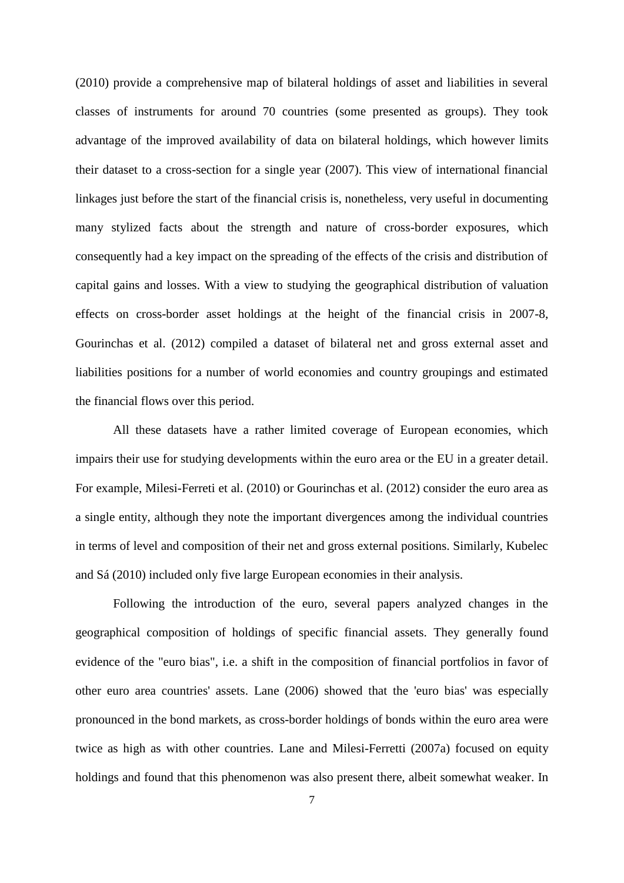(2010) provide a comprehensive map of bilateral holdings of asset and liabilities in several classes of instruments for around 70 countries (some presented as groups). They took advantage of the improved availability of data on bilateral holdings, which however limits their dataset to a cross-section for a single year (2007). This view of international financial linkages just before the start of the financial crisis is, nonetheless, very useful in documenting many stylized facts about the strength and nature of cross-border exposures, which consequently had a key impact on the spreading of the effects of the crisis and distribution of capital gains and losses. With a view to studying the geographical distribution of valuation effects on cross-border asset holdings at the height of the financial crisis in 2007-8, Gourinchas et al. (2012) compiled a dataset of bilateral net and gross external asset and liabilities positions for a number of world economies and country groupings and estimated the financial flows over this period.

All these datasets have a rather limited coverage of European economies, which impairs their use for studying developments within the euro area or the EU in a greater detail. For example, Milesi-Ferreti et al. (2010) or Gourinchas et al. (2012) consider the euro area as a single entity, although they note the important divergences among the individual countries in terms of level and composition of their net and gross external positions. Similarly, Kubelec and Sá (2010) included only five large European economies in their analysis.

Following the introduction of the euro, several papers analyzed changes in the geographical composition of holdings of specific financial assets. They generally found evidence of the "euro bias", i.e. a shift in the composition of financial portfolios in favor of other euro area countries' assets. Lane (2006) showed that the 'euro bias' was especially pronounced in the bond markets, as cross-border holdings of bonds within the euro area were twice as high as with other countries. Lane and Milesi-Ferretti (2007a) focused on equity holdings and found that this phenomenon was also present there, albeit somewhat weaker. In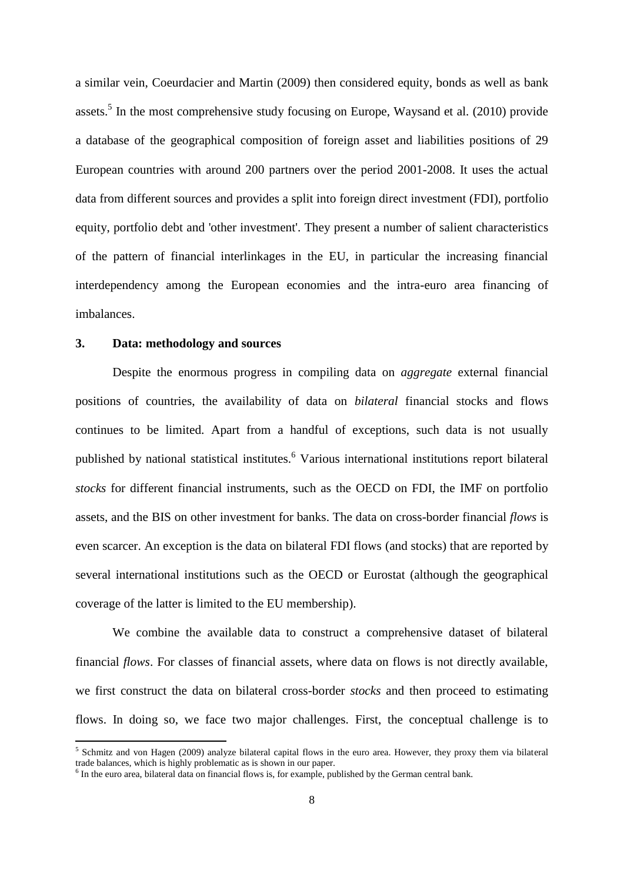a similar vein, Coeurdacier and Martin (2009) then considered equity, bonds as well as bank assets.<sup>5</sup> In the most comprehensive study focusing on Europe, Waysand et al.  $(2010)$  provide a database of the geographical composition of foreign asset and liabilities positions of 29 European countries with around 200 partners over the period 2001-2008. It uses the actual data from different sources and provides a split into foreign direct investment (FDI), portfolio equity, portfolio debt and 'other investment'. They present a number of salient characteristics of the pattern of financial interlinkages in the EU, in particular the increasing financial interdependency among the European economies and the intra-euro area financing of imbalances.

### **3. Data: methodology and sources**

**.** 

Despite the enormous progress in compiling data on *aggregate* external financial positions of countries, the availability of data on *bilateral* financial stocks and flows continues to be limited. Apart from a handful of exceptions, such data is not usually published by national statistical institutes.<sup>6</sup> Various international institutions report bilateral *stocks* for different financial instruments, such as the OECD on FDI, the IMF on portfolio assets, and the BIS on other investment for banks. The data on cross-border financial *flows* is even scarcer. An exception is the data on bilateral FDI flows (and stocks) that are reported by several international institutions such as the OECD or Eurostat (although the geographical coverage of the latter is limited to the EU membership).

We combine the available data to construct a comprehensive dataset of bilateral financial *flows*. For classes of financial assets, where data on flows is not directly available, we first construct the data on bilateral cross-border *stocks* and then proceed to estimating flows. In doing so, we face two major challenges. First, the conceptual challenge is to

<sup>&</sup>lt;sup>5</sup> Schmitz and von Hagen (2009) analyze bilateral capital flows in the euro area. However, they proxy them via bilateral trade balances, which is highly problematic as is shown in our paper.

<sup>&</sup>lt;sup>6</sup> In the euro area, bilateral data on financial flows is, for example, published by the German central bank.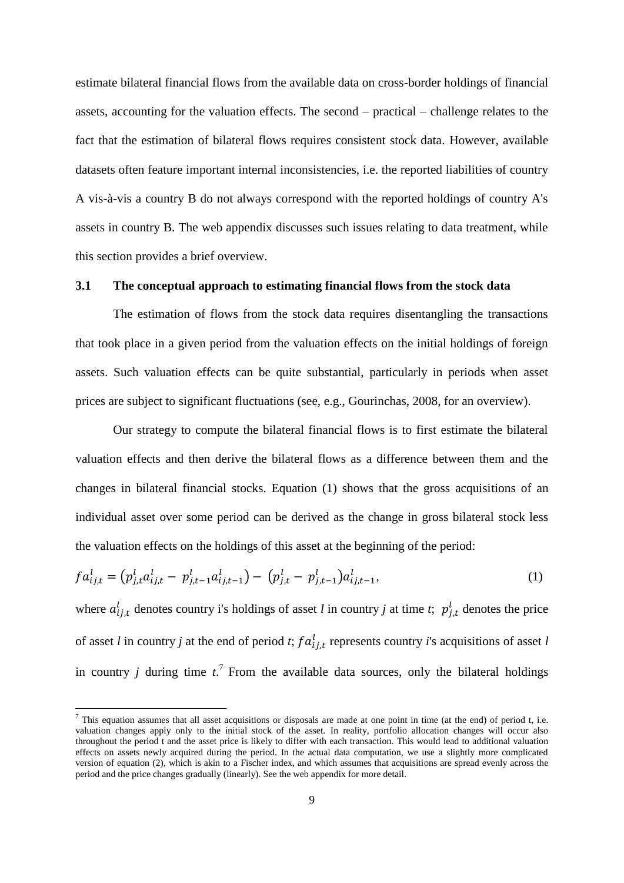estimate bilateral financial flows from the available data on cross-border holdings of financial assets, accounting for the valuation effects. The second – practical – challenge relates to the fact that the estimation of bilateral flows requires consistent stock data. However, available datasets often feature important internal inconsistencies, i.e. the reported liabilities of country A vis-à-vis a country B do not always correspond with the reported holdings of country A's assets in country B. The web appendix discusses such issues relating to data treatment, while this section provides a brief overview.

### **3.1 The conceptual approach to estimating financial flows from the stock data**

The estimation of flows from the stock data requires disentangling the transactions that took place in a given period from the valuation effects on the initial holdings of foreign assets. Such valuation effects can be quite substantial, particularly in periods when asset prices are subject to significant fluctuations (see, e.g., Gourinchas, 2008, for an overview).

Our strategy to compute the bilateral financial flows is to first estimate the bilateral valuation effects and then derive the bilateral flows as a difference between them and the changes in bilateral financial stocks. Equation (1) shows that the gross acquisitions of an individual asset over some period can be derived as the change in gross bilateral stock less the valuation effects on the holdings of this asset at the beginning of the period:

$$
f a_{ij,t}^l = (p_{j,t}^l a_{ij,t}^l - p_{j,t-1}^l a_{ij,t-1}^l) - (p_{j,t}^l - p_{j,t-1}^l) a_{ij,t-1}^l,
$$
\n(1)

where  $a_{i,j,t}$  denotes country i's holdings of asset *l* in country *j* at time *t*;  $p_{i,t}^l$  denotes the price of asset *l* in country *j* at the end of period *t*;  $fa_{i,t}^{l}$  represents country *i*'s acquisitions of asset *l* in country *j* during time  $t^7$ . From the available data sources, only the bilateral holdings

1

<sup>&</sup>lt;sup>7</sup> This equation assumes that all asset acquisitions or disposals are made at one point in time (at the end) of period t, i.e. valuation changes apply only to the initial stock of the asset. In reality, portfolio allocation changes will occur also throughout the period t and the asset price is likely to differ with each transaction. This would lead to additional valuation effects on assets newly acquired during the period. In the actual data computation, we use a slightly more complicated version of equation (2), which is akin to a Fischer index, and which assumes that acquisitions are spread evenly across the period and the price changes gradually (linearly). See the web appendix for more detail.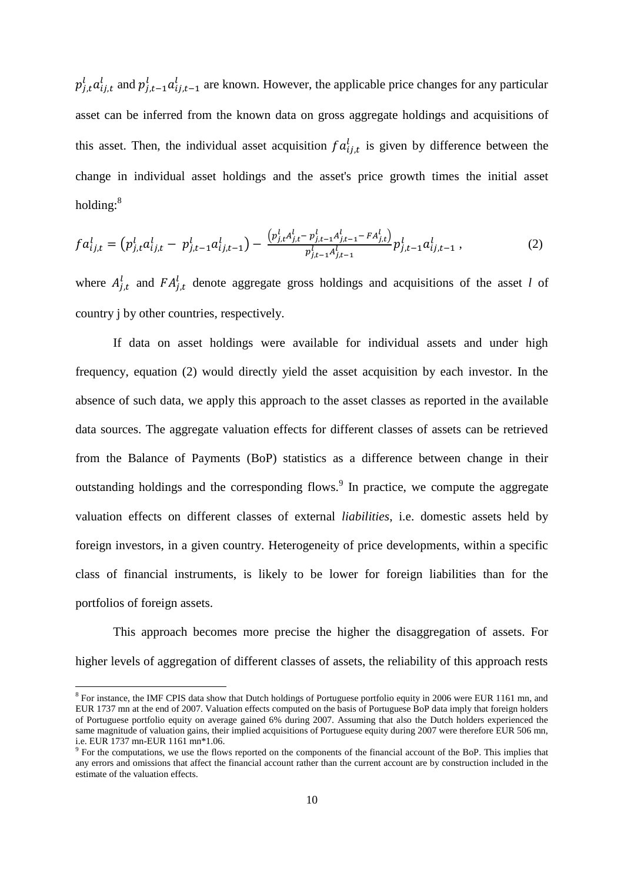$p_{i,t}^l a_{i,i,t}^l$  and  $p_{i,t-1}^l a_{i,i,t-1}^l$  are known. However, the applicable price changes for any particular asset can be inferred from the known data on gross aggregate holdings and acquisitions of this asset. Then, the individual asset acquisition  $fa_{i,i,t}^l$  is given by difference between the change in individual asset holdings and the asset's price growth times the initial asset holding:<sup>8</sup>

$$
f a_{ij,t}^l = (p_{j,t}^l a_{ij,t}^l - p_{j,t-1}^l a_{ij,t-1}^l) - \frac{(p_{j,t}^l A_{j,t}^l - p_{j,t-1}^l A_{j,t-1}^l - F A_{j,t}^l)}{p_{j,t-1}^l A_{j,t-1}^l} p_{j,t-1}^l a_{ij,t-1}^l,
$$
(2)

where  $A_{i,t}^{l}$  and  $FA_{i,t}^{l}$  denote aggregate gross holdings and acquisitions of the asset *l* of country j by other countries, respectively.

If data on asset holdings were available for individual assets and under high frequency, equation (2) would directly yield the asset acquisition by each investor. In the absence of such data, we apply this approach to the asset classes as reported in the available data sources. The aggregate valuation effects for different classes of assets can be retrieved from the Balance of Payments (BoP) statistics as a difference between change in their outstanding holdings and the corresponding flows.<sup>9</sup> In practice, we compute the aggregate valuation effects on different classes of external *liabilities*, i.e. domestic assets held by foreign investors, in a given country. Heterogeneity of price developments, within a specific class of financial instruments, is likely to be lower for foreign liabilities than for the portfolios of foreign assets.

This approach becomes more precise the higher the disaggregation of assets. For higher levels of aggregation of different classes of assets, the reliability of this approach rests

<sup>&</sup>lt;sup>8</sup> For instance, the IMF CPIS data show that Dutch holdings of Portuguese portfolio equity in 2006 were EUR 1161 mn, and EUR 1737 mn at the end of 2007. Valuation effects computed on the basis of Portuguese BoP data imply that foreign holders of Portuguese portfolio equity on average gained 6% during 2007. Assuming that also the Dutch holders experienced the same magnitude of valuation gains, their implied acquisitions of Portuguese equity during 2007 were therefore EUR 506 mn, i.e. EUR 1737 mn-EUR 1161 mn\*1.06.

<sup>&</sup>lt;sup>9</sup> For the computations, we use the flows reported on the components of the financial account of the BoP. This implies that any errors and omissions that affect the financial account rather than the current account are by construction included in the estimate of the valuation effects.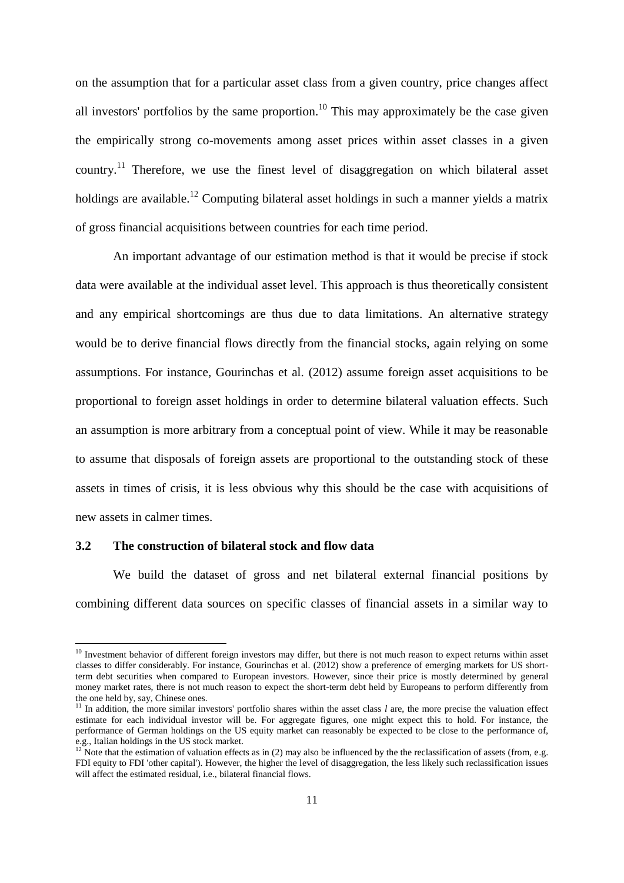on the assumption that for a particular asset class from a given country, price changes affect all investors' portfolios by the same proportion.<sup>10</sup> This may approximately be the case given the empirically strong co-movements among asset prices within asset classes in a given country.<sup>11</sup> Therefore, we use the finest level of disaggregation on which bilateral asset holdings are available.<sup>12</sup> Computing bilateral asset holdings in such a manner yields a matrix of gross financial acquisitions between countries for each time period.

An important advantage of our estimation method is that it would be precise if stock data were available at the individual asset level. This approach is thus theoretically consistent and any empirical shortcomings are thus due to data limitations. An alternative strategy would be to derive financial flows directly from the financial stocks, again relying on some assumptions. For instance, Gourinchas et al. (2012) assume foreign asset acquisitions to be proportional to foreign asset holdings in order to determine bilateral valuation effects. Such an assumption is more arbitrary from a conceptual point of view. While it may be reasonable to assume that disposals of foreign assets are proportional to the outstanding stock of these assets in times of crisis, it is less obvious why this should be the case with acquisitions of new assets in calmer times.

# **3.2 The construction of bilateral stock and flow data**

**.** 

We build the dataset of gross and net bilateral external financial positions by combining different data sources on specific classes of financial assets in a similar way to

 $10$  Investment behavior of different foreign investors may differ, but there is not much reason to expect returns within asset classes to differ considerably. For instance, Gourinchas et al. (2012) show a preference of emerging markets for US shortterm debt securities when compared to European investors. However, since their price is mostly determined by general money market rates, there is not much reason to expect the short-term debt held by Europeans to perform differently from the one held by, say, Chinese ones.

<sup>&</sup>lt;sup>11</sup> In addition, the more similar investors' portfolio shares within the asset class *l* are, the more precise the valuation effect estimate for each individual investor will be. For aggregate figures, one might expect this to hold. For instance, the performance of German holdings on the US equity market can reasonably be expected to be close to the performance of, e.g., Italian holdings in the US stock market.

<sup>&</sup>lt;sup>12</sup> Note that the estimation of valuation effects as in (2) may also be influenced by the the reclassification of assets (from, e.g. FDI equity to FDI 'other capital'). However, the higher the level of disaggregation, the less likely such reclassification issues will affect the estimated residual, i.e., bilateral financial flows.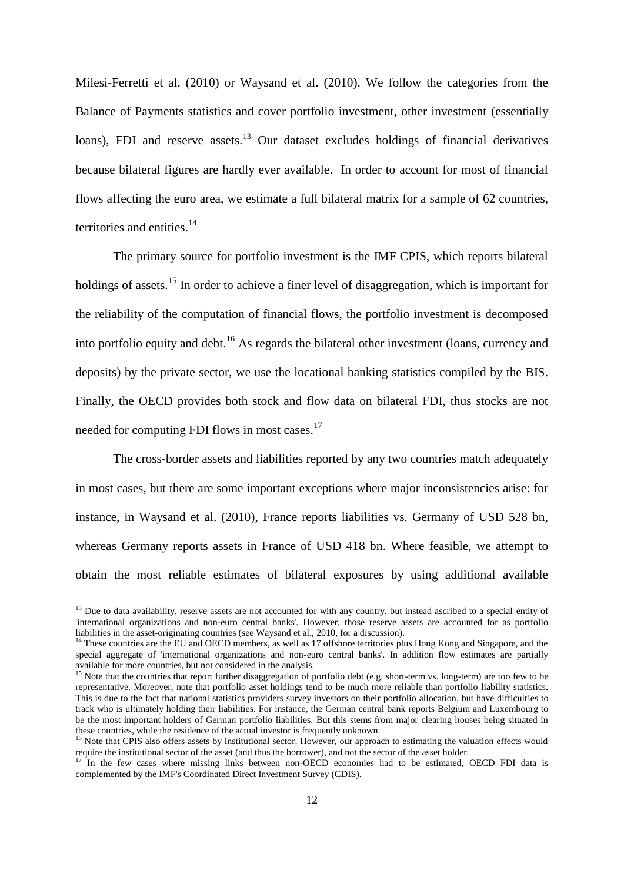Milesi-Ferretti et al. (2010) or Waysand et al. (2010). We follow the categories from the Balance of Payments statistics and cover portfolio investment, other investment (essentially loans), FDI and reserve assets.<sup>13</sup> Our dataset excludes holdings of financial derivatives because bilateral figures are hardly ever available. In order to account for most of financial flows affecting the euro area, we estimate a full bilateral matrix for a sample of 62 countries, territories and entities. $14$ 

The primary source for portfolio investment is the IMF CPIS, which reports bilateral holdings of assets.<sup>15</sup> In order to achieve a finer level of disaggregation, which is important for the reliability of the computation of financial flows, the portfolio investment is decomposed into portfolio equity and debt.<sup>16</sup> As regards the bilateral other investment (loans, currency and deposits) by the private sector, we use the locational banking statistics compiled by the BIS. Finally, the OECD provides both stock and flow data on bilateral FDI, thus stocks are not needed for computing FDI flows in most cases.<sup>17</sup>

The cross-border assets and liabilities reported by any two countries match adequately in most cases, but there are some important exceptions where major inconsistencies arise: for instance, in Waysand et al. (2010), France reports liabilities vs. Germany of USD 528 bn, whereas Germany reports assets in France of USD 418 bn. Where feasible, we attempt to obtain the most reliable estimates of bilateral exposures by using additional available

1

<sup>&</sup>lt;sup>13</sup> Due to data availability, reserve assets are not accounted for with any country, but instead ascribed to a special entity of 'international organizations and non-euro central banks'. However, those reserve assets are accounted for as portfolio liabilities in the asset-originating countries (see Waysand et al., 2010, for a discussion).

<sup>&</sup>lt;sup>14</sup> These countries are the EU and OECD members, as well as 17 offshore territories plus Hong Kong and Singapore, and the special aggregate of 'international organizations and non-euro central banks'. In addition flow estimates are partially available for more countries, but not considered in the analysis.

<sup>&</sup>lt;sup>15</sup> Note that the countries that report further disaggregation of portfolio debt (e.g. short-term vs. long-term) are too few to be representative. Moreover, note that portfolio asset holdings tend to be much more reliable than portfolio liability statistics. This is due to the fact that national statistics providers survey investors on their portfolio allocation, but have difficulties to track who is ultimately holding their liabilities. For instance, the German central bank reports Belgium and Luxembourg to be the most important holders of German portfolio liabilities. But this stems from major clearing houses being situated in these countries, while the residence of the actual investor is frequently unknown.

<sup>&</sup>lt;sup>16</sup> Note that CPIS also offers assets by institutional sector. However, our approach to estimating the valuation effects would require the institutional sector of the asset (and thus the borrower), and not the sector of the asset holder.

<sup>17</sup> In the few cases where missing links between non-OECD economies had to be estimated, OECD FDI data is complemented by the IMF's Coordinated Direct Investment Survey (CDIS).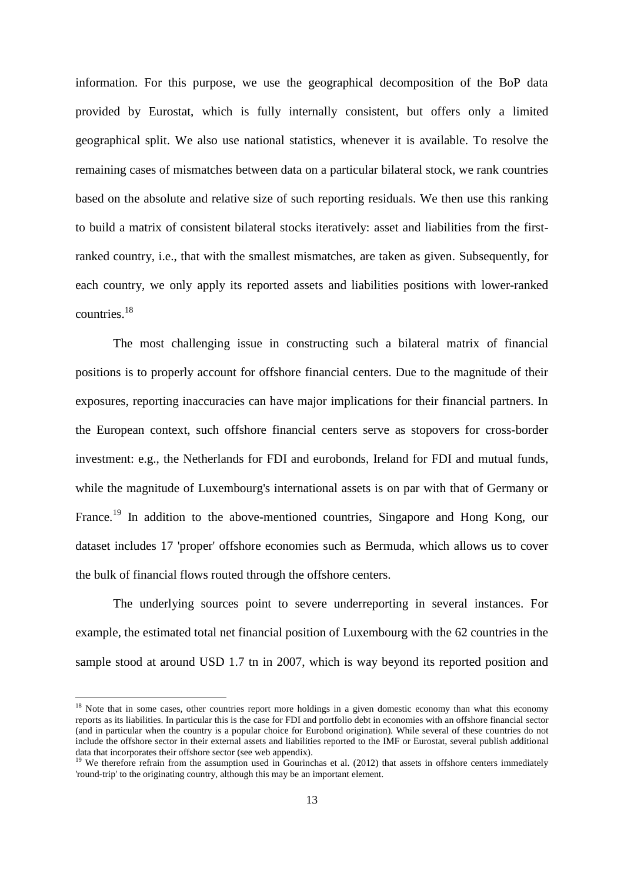information. For this purpose, we use the geographical decomposition of the BoP data provided by Eurostat, which is fully internally consistent, but offers only a limited geographical split. We also use national statistics, whenever it is available. To resolve the remaining cases of mismatches between data on a particular bilateral stock, we rank countries based on the absolute and relative size of such reporting residuals. We then use this ranking to build a matrix of consistent bilateral stocks iteratively: asset and liabilities from the firstranked country, i.e., that with the smallest mismatches, are taken as given. Subsequently, for each country, we only apply its reported assets and liabilities positions with lower-ranked countries.<sup>18</sup>

The most challenging issue in constructing such a bilateral matrix of financial positions is to properly account for offshore financial centers. Due to the magnitude of their exposures, reporting inaccuracies can have major implications for their financial partners. In the European context, such offshore financial centers serve as stopovers for cross-border investment: e.g., the Netherlands for FDI and eurobonds, Ireland for FDI and mutual funds, while the magnitude of Luxembourg's international assets is on par with that of Germany or France.<sup>19</sup> In addition to the above-mentioned countries, Singapore and Hong Kong, our dataset includes 17 'proper' offshore economies such as Bermuda, which allows us to cover the bulk of financial flows routed through the offshore centers.

The underlying sources point to severe underreporting in several instances. For example, the estimated total net financial position of Luxembourg with the 62 countries in the sample stood at around USD 1.7 tn in 2007, which is way beyond its reported position and

<sup>&</sup>lt;sup>18</sup> Note that in some cases, other countries report more holdings in a given domestic economy than what this economy reports as its liabilities. In particular this is the case for FDI and portfolio debt in economies with an offshore financial sector (and in particular when the country is a popular choice for Eurobond origination). While several of these countries do not include the offshore sector in their external assets and liabilities reported to the IMF or Eurostat, several publish additional data that incorporates their offshore sector (see web appendix).

<sup>&</sup>lt;sup>19</sup> We therefore refrain from the assumption used in Gourinchas et al. (2012) that assets in offshore centers immediately 'round-trip' to the originating country, although this may be an important element.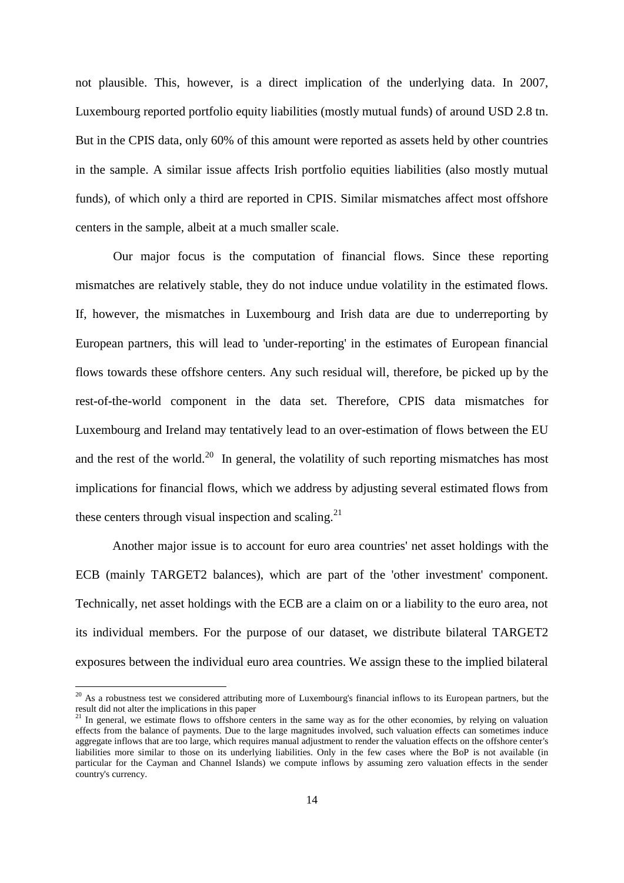not plausible. This, however, is a direct implication of the underlying data. In 2007, Luxembourg reported portfolio equity liabilities (mostly mutual funds) of around USD 2.8 tn. But in the CPIS data, only 60% of this amount were reported as assets held by other countries in the sample. A similar issue affects Irish portfolio equities liabilities (also mostly mutual funds), of which only a third are reported in CPIS. Similar mismatches affect most offshore centers in the sample, albeit at a much smaller scale.

Our major focus is the computation of financial flows. Since these reporting mismatches are relatively stable, they do not induce undue volatility in the estimated flows. If, however, the mismatches in Luxembourg and Irish data are due to underreporting by European partners, this will lead to 'under-reporting' in the estimates of European financial flows towards these offshore centers. Any such residual will, therefore, be picked up by the rest-of-the-world component in the data set. Therefore, CPIS data mismatches for Luxembourg and Ireland may tentatively lead to an over-estimation of flows between the EU and the rest of the world.<sup>20</sup> In general, the volatility of such reporting mismatches has most implications for financial flows, which we address by adjusting several estimated flows from these centers through visual inspection and scaling.<sup>21</sup>

Another major issue is to account for euro area countries' net asset holdings with the ECB (mainly TARGET2 balances), which are part of the 'other investment' component. Technically, net asset holdings with the ECB are a claim on or a liability to the euro area, not its individual members. For the purpose of our dataset, we distribute bilateral TARGET2 exposures between the individual euro area countries. We assign these to the implied bilateral

 $20$  As a robustness test we considered attributing more of Luxembourg's financial inflows to its European partners, but the result did not alter the implications in this paper

 $2<sup>1</sup>$  In general, we estimate flows to offshore centers in the same way as for the other economies, by relying on valuation effects from the balance of payments. Due to the large magnitudes involved, such valuation effects can sometimes induce aggregate inflows that are too large, which requires manual adjustment to render the valuation effects on the offshore center's liabilities more similar to those on its underlying liabilities. Only in the few cases where the BoP is not available (in particular for the Cayman and Channel Islands) we compute inflows by assuming zero valuation effects in the sender country's currency.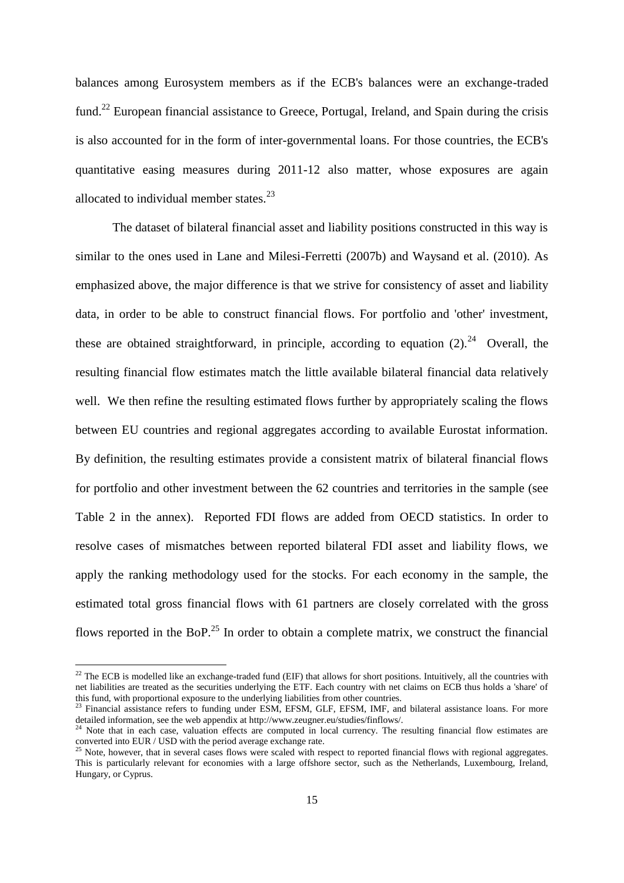balances among Eurosystem members as if the ECB's balances were an exchange-traded fund.<sup>22</sup> European financial assistance to Greece, Portugal, Ireland, and Spain during the crisis is also accounted for in the form of inter-governmental loans. For those countries, the ECB's quantitative easing measures during 2011-12 also matter, whose exposures are again allocated to individual member states. $^{23}$ 

The dataset of bilateral financial asset and liability positions constructed in this way is similar to the ones used in Lane and Milesi-Ferretti (2007b) and Waysand et al. (2010). As emphasized above, the major difference is that we strive for consistency of asset and liability data, in order to be able to construct financial flows. For portfolio and 'other' investment, these are obtained straightforward, in principle, according to equation  $(2)$ .<sup>24</sup> Overall, the resulting financial flow estimates match the little available bilateral financial data relatively well. We then refine the resulting estimated flows further by appropriately scaling the flows between EU countries and regional aggregates according to available Eurostat information. By definition, the resulting estimates provide a consistent matrix of bilateral financial flows for portfolio and other investment between the 62 countries and territories in the sample (see Table 2 in the annex). Reported FDI flows are added from OECD statistics. In order to resolve cases of mismatches between reported bilateral FDI asset and liability flows, we apply the ranking methodology used for the stocks. For each economy in the sample, the estimated total gross financial flows with 61 partners are closely correlated with the gross flows reported in the BoP.<sup>25</sup> In order to obtain a complete matrix, we construct the financial

 $^{22}$  The ECB is modelled like an exchange-traded fund (EIF) that allows for short positions. Intuitively, all the countries with net liabilities are treated as the securities underlying the ETF. Each country with net claims on ECB thus holds a 'share' of this fund, with proportional exposure to the underlying liabilities from other countries.

<sup>&</sup>lt;sup>23</sup> Financial assistance refers to funding under ESM, EFSM, GLF, EFSM, IMF, and bilateral assistance loans. For more detailed information, see the web appendix at http://www.zeugner.eu/studies/finflows/.

 $24$  Note that in each case, valuation effects are computed in local currency. The resulting financial flow estimates are converted into EUR / USD with the period average exchange rate.

<sup>&</sup>lt;sup>25</sup> Note, however, that in several cases flows were scaled with respect to reported financial flows with regional aggregates. This is particularly relevant for economies with a large offshore sector, such as the Netherlands, Luxembourg, Ireland, Hungary, or Cyprus.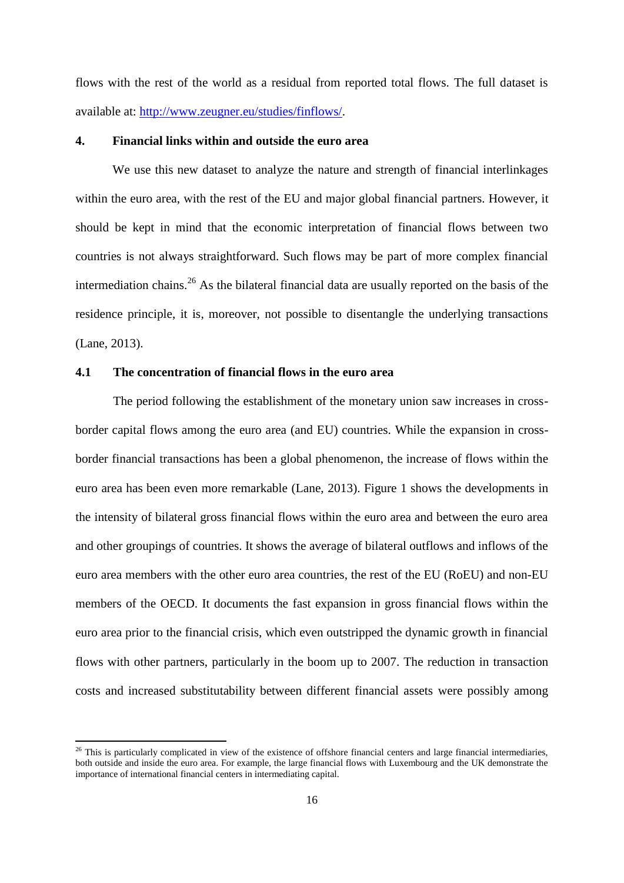flows with the rest of the world as a residual from reported total flows. The full dataset is available at: [http://www.zeugner.eu/studies/finflows/.](http://www.zeugner.eu/studies/finflows/)

#### **4. Financial links within and outside the euro area**

We use this new dataset to analyze the nature and strength of financial interlinkages within the euro area, with the rest of the EU and major global financial partners. However, it should be kept in mind that the economic interpretation of financial flows between two countries is not always straightforward. Such flows may be part of more complex financial intermediation chains.<sup>26</sup> As the bilateral financial data are usually reported on the basis of the residence principle, it is, moreover, not possible to disentangle the underlying transactions (Lane, 2013).

# **4.1 The concentration of financial flows in the euro area**

**.** 

The period following the establishment of the monetary union saw increases in crossborder capital flows among the euro area (and EU) countries. While the expansion in crossborder financial transactions has been a global phenomenon, the increase of flows within the euro area has been even more remarkable (Lane, 2013). Figure 1 shows the developments in the intensity of bilateral gross financial flows within the euro area and between the euro area and other groupings of countries. It shows the average of bilateral outflows and inflows of the euro area members with the other euro area countries, the rest of the EU (RoEU) and non-EU members of the OECD. It documents the fast expansion in gross financial flows within the euro area prior to the financial crisis, which even outstripped the dynamic growth in financial flows with other partners, particularly in the boom up to 2007. The reduction in transaction costs and increased substitutability between different financial assets were possibly among

 $^{26}$  This is particularly complicated in view of the existence of offshore financial centers and large financial intermediaries, both outside and inside the euro area. For example, the large financial flows with Luxembourg and the UK demonstrate the importance of international financial centers in intermediating capital.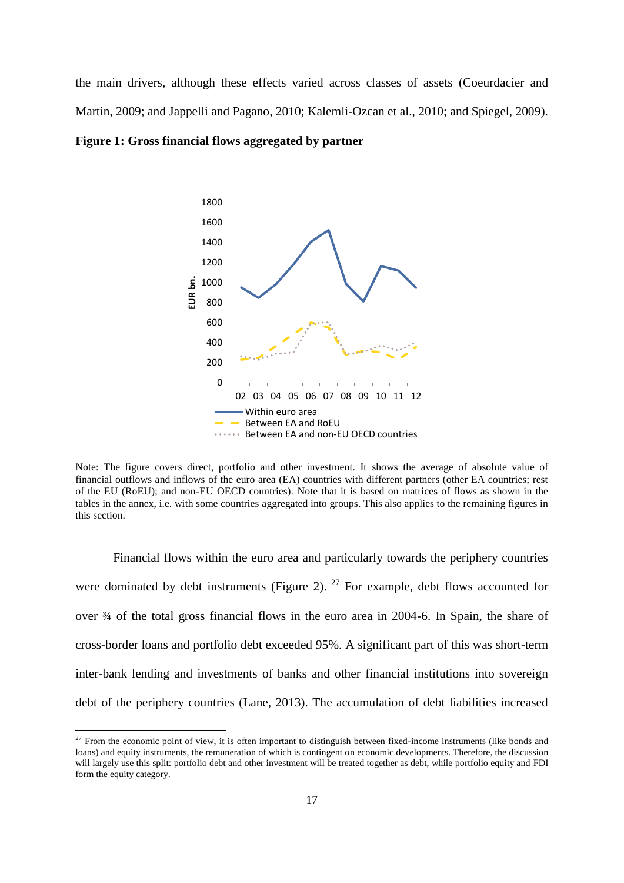the main drivers, although these effects varied across classes of assets (Coeurdacier and Martin, 2009; and Jappelli and Pagano, 2010; Kalemli-Ozcan et al., 2010; and Spiegel, 2009).

**Figure 1: Gross financial flows aggregated by partner**



Note: The figure covers direct, portfolio and other investment. It shows the average of absolute value of financial outflows and inflows of the euro area (EA) countries with different partners (other EA countries; rest of the EU (RoEU); and non-EU OECD countries). Note that it is based on matrices of flows as shown in the tables in the annex, i.e. with some countries aggregated into groups. This also applies to the remaining figures in this section.

Financial flows within the euro area and particularly towards the periphery countries were dominated by debt instruments (Figure 2).  $27$  For example, debt flows accounted for over ¾ of the total gross financial flows in the euro area in 2004-6. In Spain, the share of cross-border loans and portfolio debt exceeded 95%. A significant part of this was short-term inter-bank lending and investments of banks and other financial institutions into sovereign debt of the periphery countries (Lane, 2013). The accumulation of debt liabilities increased

1

 $27$  From the economic point of view, it is often important to distinguish between fixed-income instruments (like bonds and loans) and equity instruments, the remuneration of which is contingent on economic developments. Therefore, the discussion will largely use this split: portfolio debt and other investment will be treated together as debt, while portfolio equity and FDI form the equity category.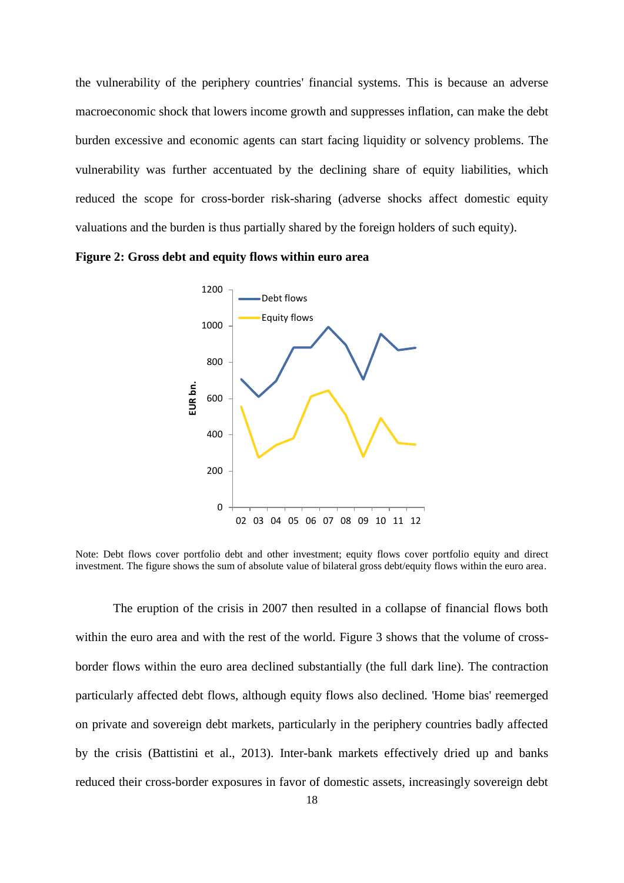the vulnerability of the periphery countries' financial systems. This is because an adverse macroeconomic shock that lowers income growth and suppresses inflation, can make the debt burden excessive and economic agents can start facing liquidity or solvency problems. The vulnerability was further accentuated by the declining share of equity liabilities, which reduced the scope for cross-border risk-sharing (adverse shocks affect domestic equity valuations and the burden is thus partially shared by the foreign holders of such equity).

**Figure 2: Gross debt and equity flows within euro area**



Note: Debt flows cover portfolio debt and other investment; equity flows cover portfolio equity and direct investment. The figure shows the sum of absolute value of bilateral gross debt/equity flows within the euro area.

The eruption of the crisis in 2007 then resulted in a collapse of financial flows both within the euro area and with the rest of the world. Figure 3 shows that the volume of crossborder flows within the euro area declined substantially (the full dark line). The contraction particularly affected debt flows, although equity flows also declined. 'Home bias' reemerged on private and sovereign debt markets, particularly in the periphery countries badly affected by the crisis (Battistini et al., 2013). Inter-bank markets effectively dried up and banks reduced their cross-border exposures in favor of domestic assets, increasingly sovereign debt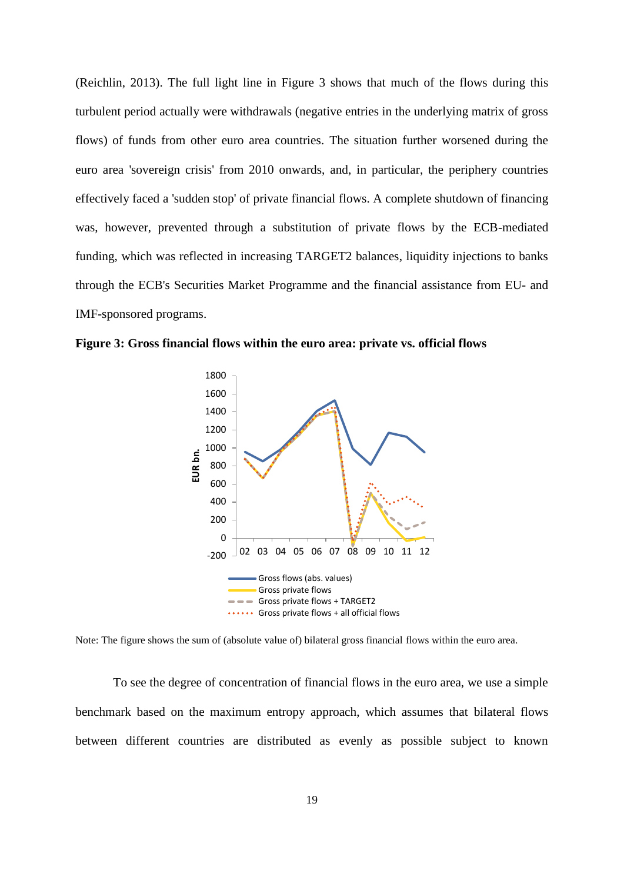(Reichlin, 2013). The full light line in Figure 3 shows that much of the flows during this turbulent period actually were withdrawals (negative entries in the underlying matrix of gross flows) of funds from other euro area countries. The situation further worsened during the euro area 'sovereign crisis' from 2010 onwards, and, in particular, the periphery countries effectively faced a 'sudden stop' of private financial flows. A complete shutdown of financing was, however, prevented through a substitution of private flows by the ECB-mediated funding, which was reflected in increasing TARGET2 balances, liquidity injections to banks through the ECB's Securities Market Programme and the financial assistance from EU- and IMF-sponsored programs.

**Figure 3: Gross financial flows within the euro area: private vs. official flows**



Note: The figure shows the sum of (absolute value of) bilateral gross financial flows within the euro area.

To see the degree of concentration of financial flows in the euro area, we use a simple benchmark based on the maximum entropy approach, which assumes that bilateral flows between different countries are distributed as evenly as possible subject to known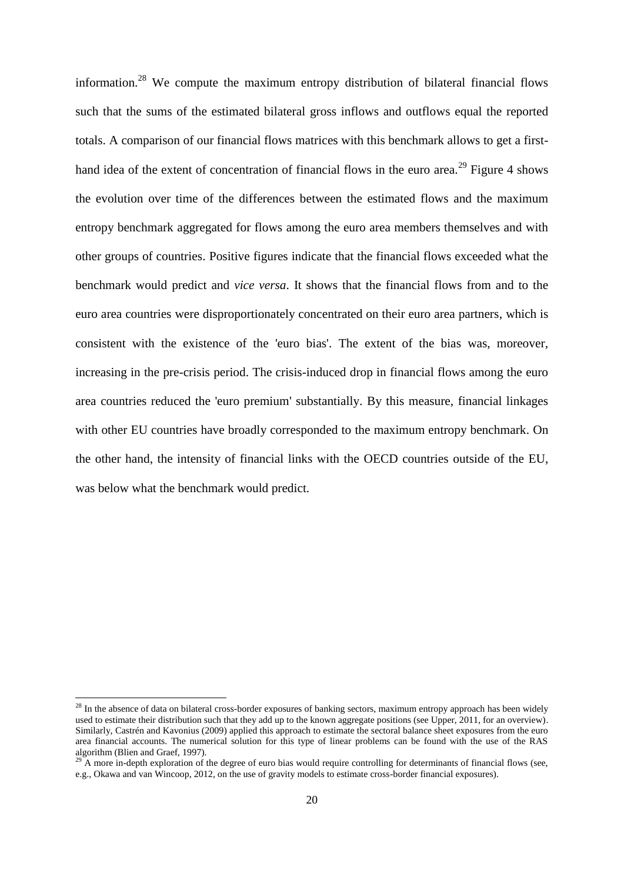information.<sup>28</sup> We compute the maximum entropy distribution of bilateral financial flows such that the sums of the estimated bilateral gross inflows and outflows equal the reported totals. A comparison of our financial flows matrices with this benchmark allows to get a firsthand idea of the extent of concentration of financial flows in the euro area.<sup>29</sup> Figure 4 shows the evolution over time of the differences between the estimated flows and the maximum entropy benchmark aggregated for flows among the euro area members themselves and with other groups of countries. Positive figures indicate that the financial flows exceeded what the benchmark would predict and *vice versa*. It shows that the financial flows from and to the euro area countries were disproportionately concentrated on their euro area partners, which is consistent with the existence of the 'euro bias'. The extent of the bias was, moreover, increasing in the pre-crisis period. The crisis-induced drop in financial flows among the euro area countries reduced the 'euro premium' substantially. By this measure, financial linkages with other EU countries have broadly corresponded to the maximum entropy benchmark. On the other hand, the intensity of financial links with the OECD countries outside of the EU, was below what the benchmark would predict.

<sup>&</sup>lt;sup>28</sup> In the absence of data on bilateral cross-border exposures of banking sectors, maximum entropy approach has been widely used to estimate their distribution such that they add up to the known aggregate positions (see Upper, 2011, for an overview). Similarly, Castrén and Kavonius (2009) applied this approach to estimate the sectoral balance sheet exposures from the euro area financial accounts. The numerical solution for this type of linear problems can be found with the use of the RAS algorithm (Blien and Graef, 1997).

A more in-depth exploration of the degree of euro bias would require controlling for determinants of financial flows (see, e.g., Okawa and van Wincoop, 2012, on the use of gravity models to estimate cross-border financial exposures).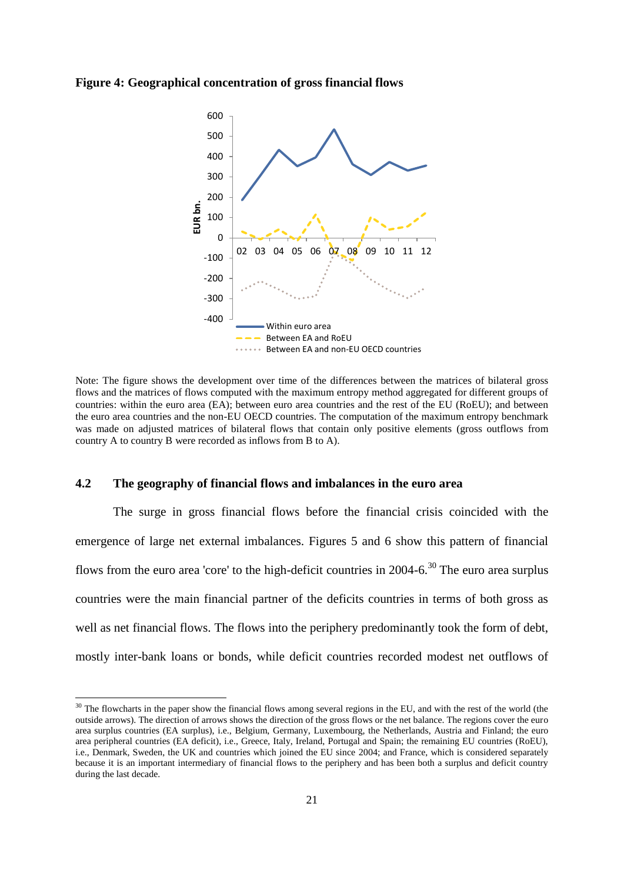### **Figure 4: Geographical concentration of gross financial flows**



Note: The figure shows the development over time of the differences between the matrices of bilateral gross flows and the matrices of flows computed with the maximum entropy method aggregated for different groups of countries: within the euro area (EA); between euro area countries and the rest of the EU (RoEU); and between the euro area countries and the non-EU OECD countries. The computation of the maximum entropy benchmark was made on adjusted matrices of bilateral flows that contain only positive elements (gross outflows from country A to country B were recorded as inflows from B to A).

### **4.2 The geography of financial flows and imbalances in the euro area**

**.** 

The surge in gross financial flows before the financial crisis coincided with the emergence of large net external imbalances. Figures 5 and 6 show this pattern of financial flows from the euro area 'core' to the high-deficit countries in 2004-6.<sup>30</sup> The euro area surplus countries were the main financial partner of the deficits countries in terms of both gross as well as net financial flows. The flows into the periphery predominantly took the form of debt, mostly inter-bank loans or bonds, while deficit countries recorded modest net outflows of

 $30$  The flowcharts in the paper show the financial flows among several regions in the EU, and with the rest of the world (the outside arrows). The direction of arrows shows the direction of the gross flows or the net balance. The regions cover the euro area surplus countries (EA surplus), i.e., Belgium, Germany, Luxembourg, the Netherlands, Austria and Finland; the euro area peripheral countries (EA deficit), i.e., Greece, Italy, Ireland, Portugal and Spain; the remaining EU countries (RoEU), i.e., Denmark, Sweden, the UK and countries which joined the EU since 2004; and France, which is considered separately because it is an important intermediary of financial flows to the periphery and has been both a surplus and deficit country during the last decade.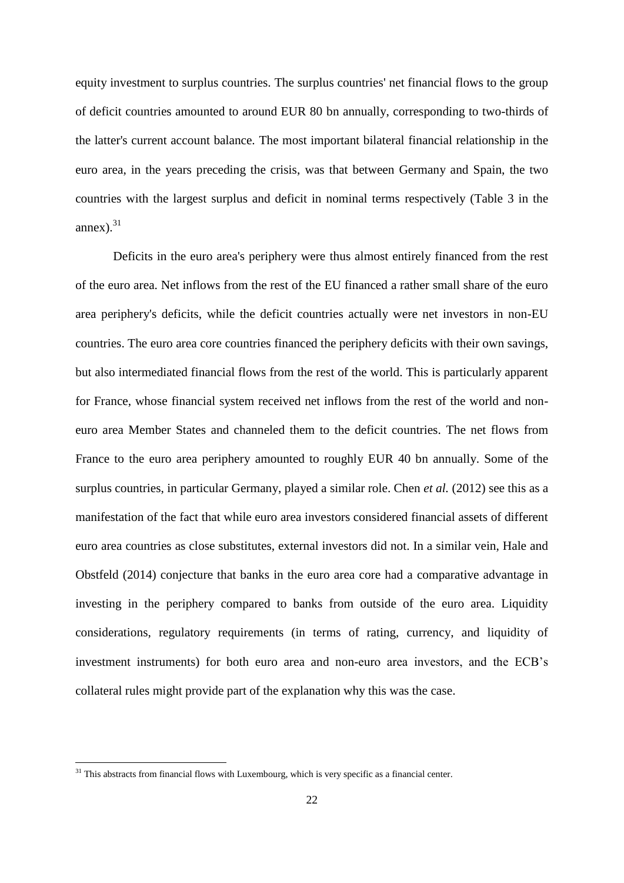equity investment to surplus countries. The surplus countries' net financial flows to the group of deficit countries amounted to around EUR 80 bn annually, corresponding to two-thirds of the latter's current account balance. The most important bilateral financial relationship in the euro area, in the years preceding the crisis, was that between Germany and Spain, the two countries with the largest surplus and deficit in nominal terms respectively (Table 3 in the annex $).$ <sup>31</sup>

Deficits in the euro area's periphery were thus almost entirely financed from the rest of the euro area. Net inflows from the rest of the EU financed a rather small share of the euro area periphery's deficits, while the deficit countries actually were net investors in non-EU countries. The euro area core countries financed the periphery deficits with their own savings, but also intermediated financial flows from the rest of the world. This is particularly apparent for France, whose financial system received net inflows from the rest of the world and noneuro area Member States and channeled them to the deficit countries. The net flows from France to the euro area periphery amounted to roughly EUR 40 bn annually. Some of the surplus countries, in particular Germany, played a similar role. Chen *et al.* (2012) see this as a manifestation of the fact that while euro area investors considered financial assets of different euro area countries as close substitutes, external investors did not. In a similar vein, Hale and Obstfeld (2014) conjecture that banks in the euro area core had a comparative advantage in investing in the periphery compared to banks from outside of the euro area. Liquidity considerations, regulatory requirements (in terms of rating, currency, and liquidity of investment instruments) for both euro area and non-euro area investors, and the ECB's collateral rules might provide part of the explanation why this was the case.

1

 $31$  This abstracts from financial flows with Luxembourg, which is very specific as a financial center.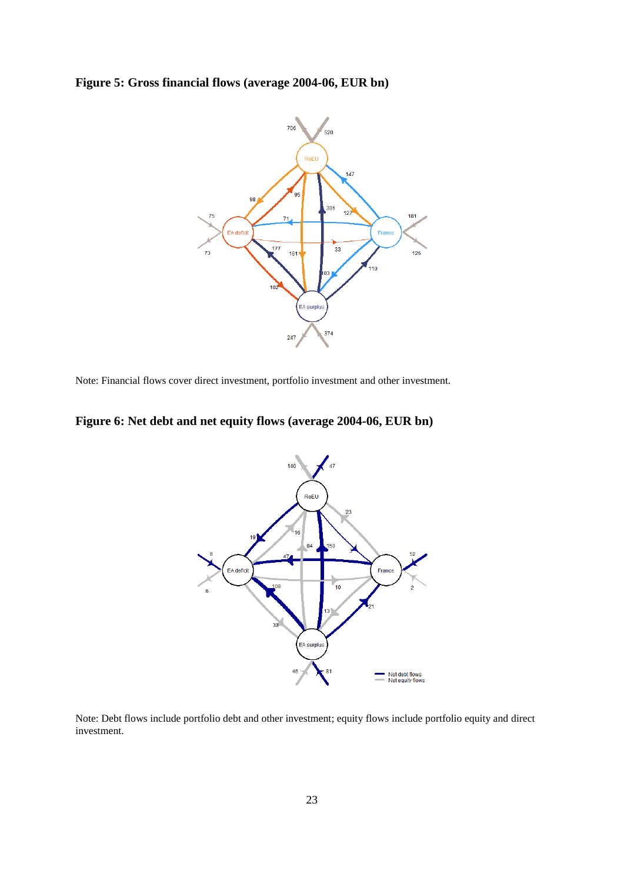# **Figure 5: Gross financial flows (average 2004-06, EUR bn)**



Note: Financial flows cover direct investment, portfolio investment and other investment.

# **Figure 6: Net debt and net equity flows (average 2004-06, EUR bn)**



Note: Debt flows include portfolio debt and other investment; equity flows include portfolio equity and direct investment.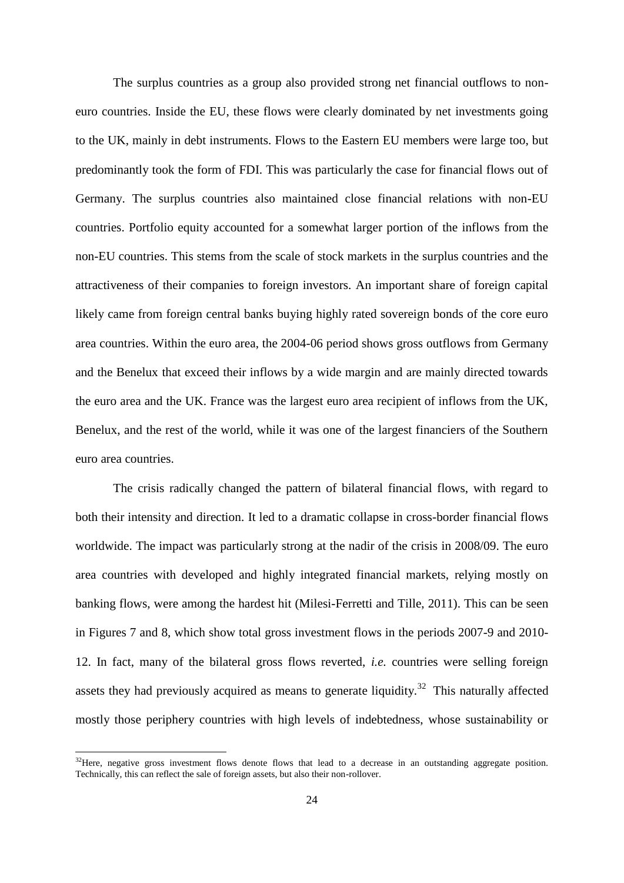The surplus countries as a group also provided strong net financial outflows to noneuro countries. Inside the EU, these flows were clearly dominated by net investments going to the UK, mainly in debt instruments. Flows to the Eastern EU members were large too, but predominantly took the form of FDI. This was particularly the case for financial flows out of Germany. The surplus countries also maintained close financial relations with non-EU countries. Portfolio equity accounted for a somewhat larger portion of the inflows from the non-EU countries. This stems from the scale of stock markets in the surplus countries and the attractiveness of their companies to foreign investors. An important share of foreign capital likely came from foreign central banks buying highly rated sovereign bonds of the core euro area countries. Within the euro area, the 2004-06 period shows gross outflows from Germany and the Benelux that exceed their inflows by a wide margin and are mainly directed towards the euro area and the UK. France was the largest euro area recipient of inflows from the UK, Benelux, and the rest of the world, while it was one of the largest financiers of the Southern euro area countries.

The crisis radically changed the pattern of bilateral financial flows, with regard to both their intensity and direction. It led to a dramatic collapse in cross-border financial flows worldwide. The impact was particularly strong at the nadir of the crisis in 2008/09. The euro area countries with developed and highly integrated financial markets, relying mostly on banking flows, were among the hardest hit (Milesi-Ferretti and Tille, 2011). This can be seen in Figures 7 and 8, which show total gross investment flows in the periods 2007-9 and 2010- 12. In fact, many of the bilateral gross flows reverted, *i.e.* countries were selling foreign assets they had previously acquired as means to generate liquidity.<sup>32</sup> This naturally affected mostly those periphery countries with high levels of indebtedness, whose sustainability or

<sup>&</sup>lt;sup>32</sup>Here, negative gross investment flows denote flows that lead to a decrease in an outstanding aggregate position. Technically, this can reflect the sale of foreign assets, but also their non-rollover.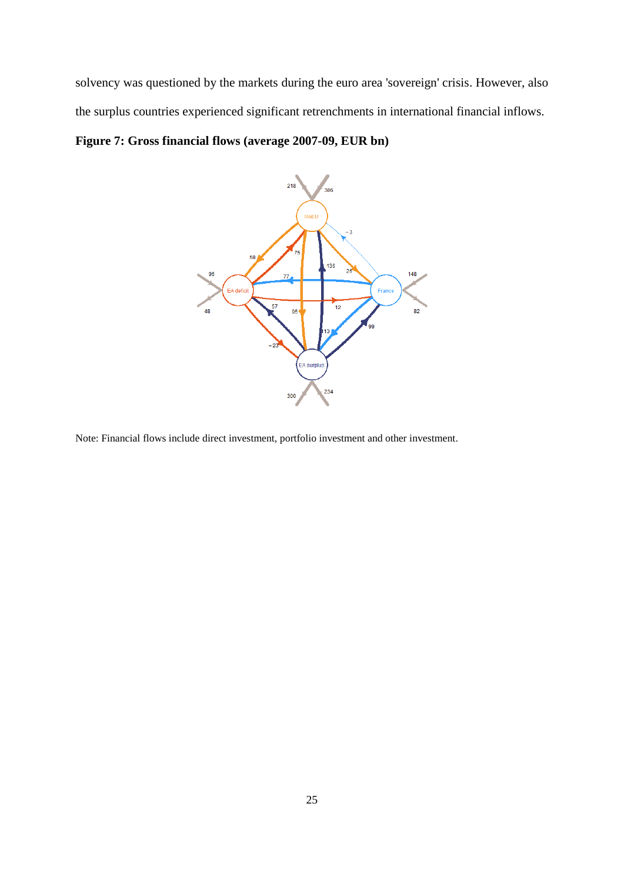solvency was questioned by the markets during the euro area 'sovereign' crisis. However, also the surplus countries experienced significant retrenchments in international financial inflows.

# **Figure 7: Gross financial flows (average 2007-09, EUR bn)**



Note: Financial flows include direct investment, portfolio investment and other investment.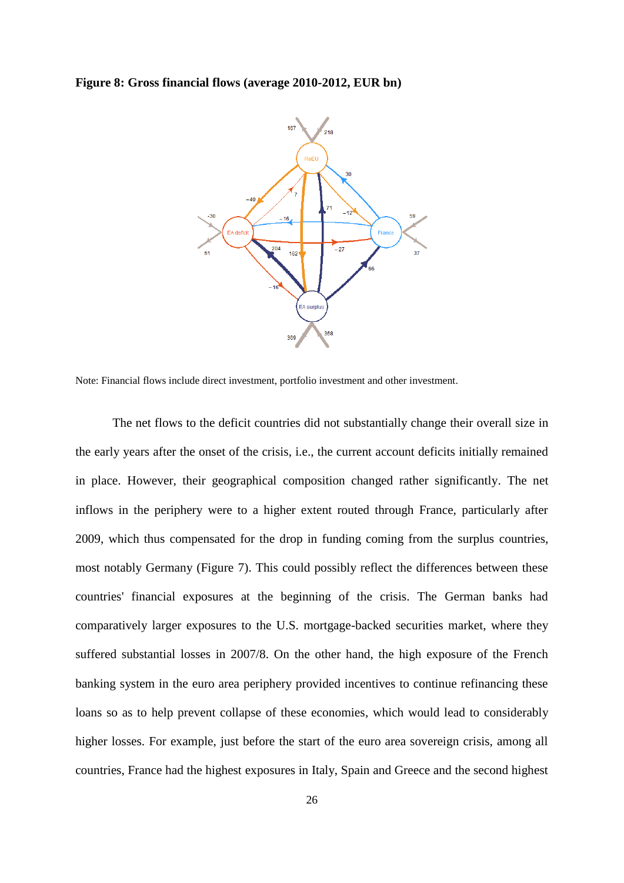### **Figure 8: Gross financial flows (average 2010-2012, EUR bn)**



Note: Financial flows include direct investment, portfolio investment and other investment.

The net flows to the deficit countries did not substantially change their overall size in the early years after the onset of the crisis, i.e., the current account deficits initially remained in place. However, their geographical composition changed rather significantly. The net inflows in the periphery were to a higher extent routed through France, particularly after 2009, which thus compensated for the drop in funding coming from the surplus countries, most notably Germany (Figure 7). This could possibly reflect the differences between these countries' financial exposures at the beginning of the crisis. The German banks had comparatively larger exposures to the U.S. mortgage-backed securities market, where they suffered substantial losses in 2007/8. On the other hand, the high exposure of the French banking system in the euro area periphery provided incentives to continue refinancing these loans so as to help prevent collapse of these economies, which would lead to considerably higher losses. For example, just before the start of the euro area sovereign crisis, among all countries, France had the highest exposures in Italy, Spain and Greece and the second highest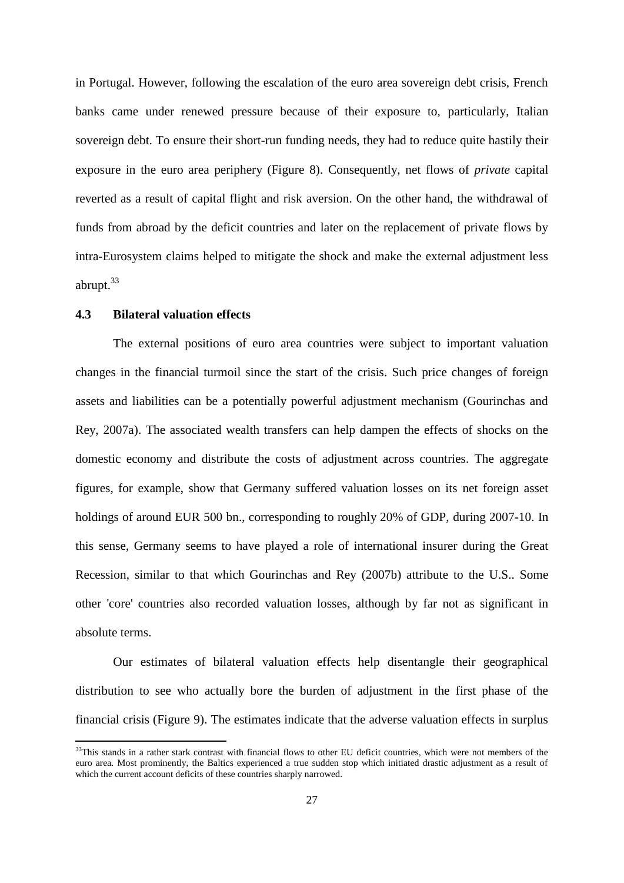in Portugal. However, following the escalation of the euro area sovereign debt crisis, French banks came under renewed pressure because of their exposure to, particularly, Italian sovereign debt. To ensure their short-run funding needs, they had to reduce quite hastily their exposure in the euro area periphery (Figure 8). Consequently, net flows of *private* capital reverted as a result of capital flight and risk aversion. On the other hand, the withdrawal of funds from abroad by the deficit countries and later on the replacement of private flows by intra-Eurosystem claims helped to mitigate the shock and make the external adjustment less abrupt. 33

### **4.3 Bilateral valuation effects**

**.** 

The external positions of euro area countries were subject to important valuation changes in the financial turmoil since the start of the crisis. Such price changes of foreign assets and liabilities can be a potentially powerful adjustment mechanism (Gourinchas and Rey, 2007a). The associated wealth transfers can help dampen the effects of shocks on the domestic economy and distribute the costs of adjustment across countries. The aggregate figures, for example, show that Germany suffered valuation losses on its net foreign asset holdings of around EUR 500 bn., corresponding to roughly 20% of GDP, during 2007-10. In this sense, Germany seems to have played a role of international insurer during the Great Recession, similar to that which Gourinchas and Rey (2007b) attribute to the U.S.. Some other 'core' countries also recorded valuation losses, although by far not as significant in absolute terms.

Our estimates of bilateral valuation effects help disentangle their geographical distribution to see who actually bore the burden of adjustment in the first phase of the financial crisis (Figure 9). The estimates indicate that the adverse valuation effects in surplus

 $33$ This stands in a rather stark contrast with financial flows to other EU deficit countries, which were not members of the euro area. Most prominently, the Baltics experienced a true sudden stop which initiated drastic adjustment as a result of which the current account deficits of these countries sharply narrowed.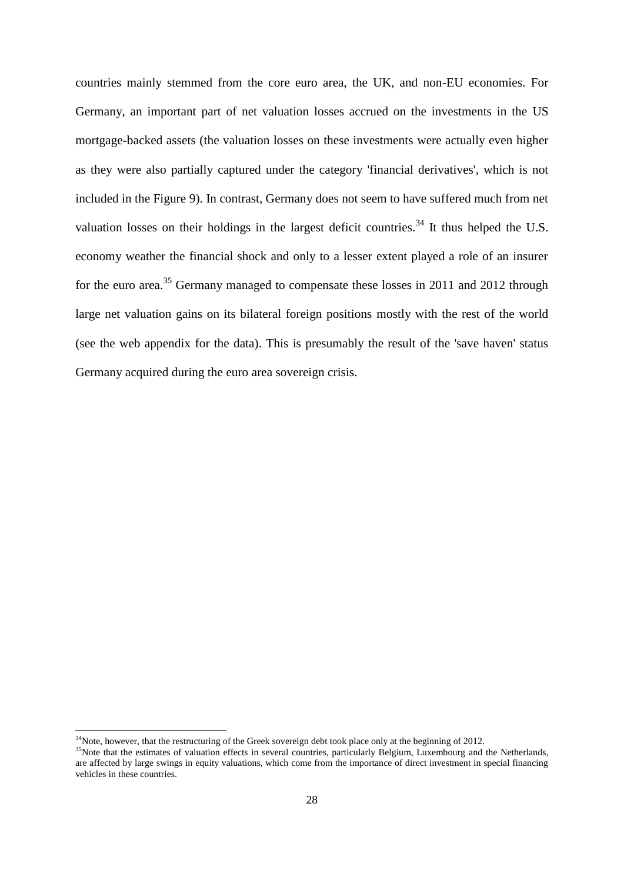countries mainly stemmed from the core euro area, the UK, and non-EU economies. For Germany, an important part of net valuation losses accrued on the investments in the US mortgage-backed assets (the valuation losses on these investments were actually even higher as they were also partially captured under the category 'financial derivatives', which is not included in the Figure 9). In contrast, Germany does not seem to have suffered much from net valuation losses on their holdings in the largest deficit countries.<sup>34</sup> It thus helped the U.S. economy weather the financial shock and only to a lesser extent played a role of an insurer for the euro area.<sup>35</sup> Germany managed to compensate these losses in 2011 and 2012 through large net valuation gains on its bilateral foreign positions mostly with the rest of the world (see the web appendix for the data). This is presumably the result of the 'save haven' status Germany acquired during the euro area sovereign crisis.

1

 $34$ Note, however, that the restructuring of the Greek sovereign debt took place only at the beginning of 2012.

<sup>&</sup>lt;sup>35</sup>Note that the estimates of valuation effects in several countries, particularly Belgium, Luxembourg and the Netherlands, are affected by large swings in equity valuations, which come from the importance of direct investment in special financing vehicles in these countries.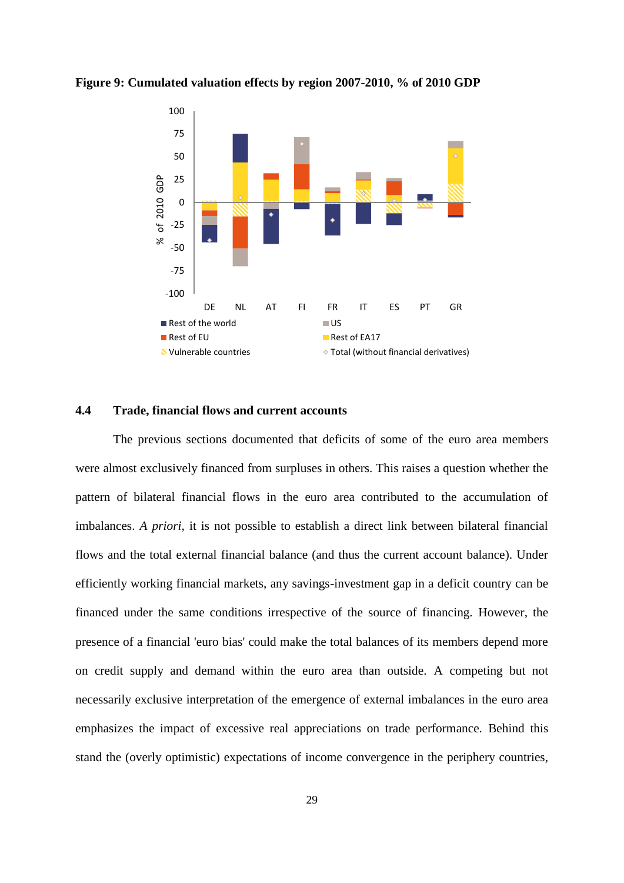

**Figure 9: Cumulated valuation effects by region 2007-2010, % of 2010 GDP**

# **4.4 Trade, financial flows and current accounts**

The previous sections documented that deficits of some of the euro area members were almost exclusively financed from surpluses in others. This raises a question whether the pattern of bilateral financial flows in the euro area contributed to the accumulation of imbalances. *A priori,* it is not possible to establish a direct link between bilateral financial flows and the total external financial balance (and thus the current account balance). Under efficiently working financial markets, any savings-investment gap in a deficit country can be financed under the same conditions irrespective of the source of financing. However, the presence of a financial 'euro bias' could make the total balances of its members depend more on credit supply and demand within the euro area than outside. A competing but not necessarily exclusive interpretation of the emergence of external imbalances in the euro area emphasizes the impact of excessive real appreciations on trade performance. Behind this stand the (overly optimistic) expectations of income convergence in the periphery countries,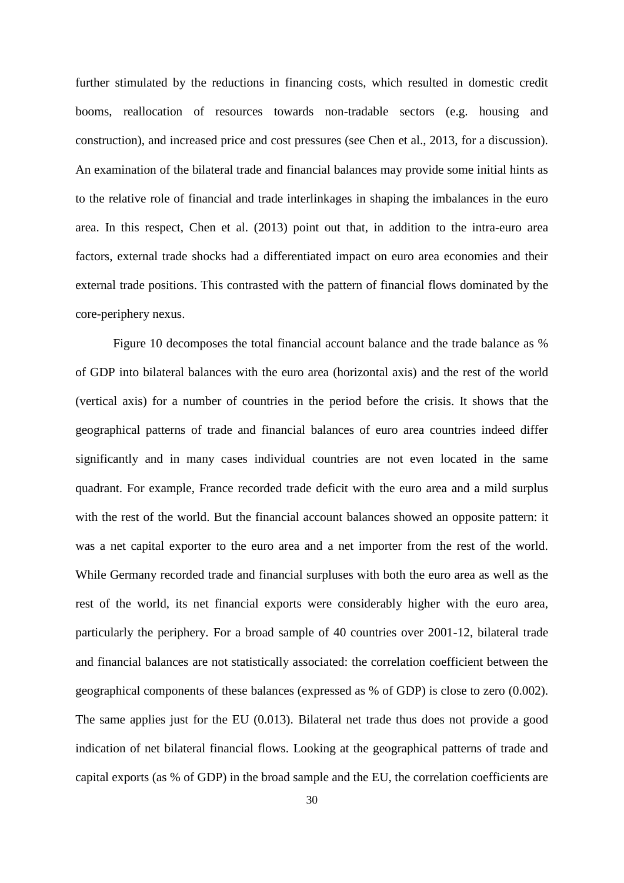further stimulated by the reductions in financing costs, which resulted in domestic credit booms, reallocation of resources towards non-tradable sectors (e.g. housing and construction), and increased price and cost pressures (see Chen et al., 2013, for a discussion). An examination of the bilateral trade and financial balances may provide some initial hints as to the relative role of financial and trade interlinkages in shaping the imbalances in the euro area. In this respect, Chen et al. (2013) point out that, in addition to the intra-euro area factors, external trade shocks had a differentiated impact on euro area economies and their external trade positions. This contrasted with the pattern of financial flows dominated by the core-periphery nexus.

Figure 10 decomposes the total financial account balance and the trade balance as % of GDP into bilateral balances with the euro area (horizontal axis) and the rest of the world (vertical axis) for a number of countries in the period before the crisis. It shows that the geographical patterns of trade and financial balances of euro area countries indeed differ significantly and in many cases individual countries are not even located in the same quadrant. For example, France recorded trade deficit with the euro area and a mild surplus with the rest of the world. But the financial account balances showed an opposite pattern: it was a net capital exporter to the euro area and a net importer from the rest of the world. While Germany recorded trade and financial surpluses with both the euro area as well as the rest of the world, its net financial exports were considerably higher with the euro area, particularly the periphery. For a broad sample of 40 countries over 2001-12, bilateral trade and financial balances are not statistically associated: the correlation coefficient between the geographical components of these balances (expressed as % of GDP) is close to zero (0.002). The same applies just for the EU (0.013). Bilateral net trade thus does not provide a good indication of net bilateral financial flows. Looking at the geographical patterns of trade and capital exports (as % of GDP) in the broad sample and the EU, the correlation coefficients are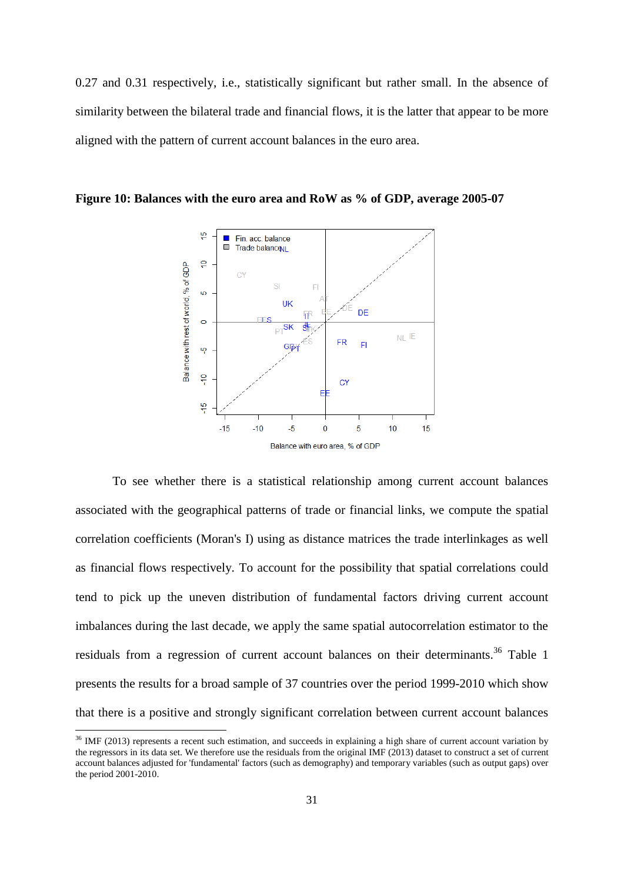0.27 and 0.31 respectively, i.e., statistically significant but rather small. In the absence of similarity between the bilateral trade and financial flows, it is the latter that appear to be more aligned with the pattern of current account balances in the euro area.



**Figure 10: Balances with the euro area and RoW as % of GDP, average 2005-07**

To see whether there is a statistical relationship among current account balances associated with the geographical patterns of trade or financial links, we compute the spatial correlation coefficients (Moran's I) using as distance matrices the trade interlinkages as well as financial flows respectively. To account for the possibility that spatial correlations could tend to pick up the uneven distribution of fundamental factors driving current account imbalances during the last decade, we apply the same spatial autocorrelation estimator to the residuals from a regression of current account balances on their determinants.<sup>36</sup> Table 1 presents the results for a broad sample of 37 countries over the period 1999-2010 which show that there is a positive and strongly significant correlation between current account balances

1

 $36$  IMF (2013) represents a recent such estimation, and succeeds in explaining a high share of current account variation by the regressors in its data set. We therefore use the residuals from the original IMF (2013) dataset to construct a set of current account balances adjusted for 'fundamental' factors (such as demography) and temporary variables (such as output gaps) over the period 2001-2010.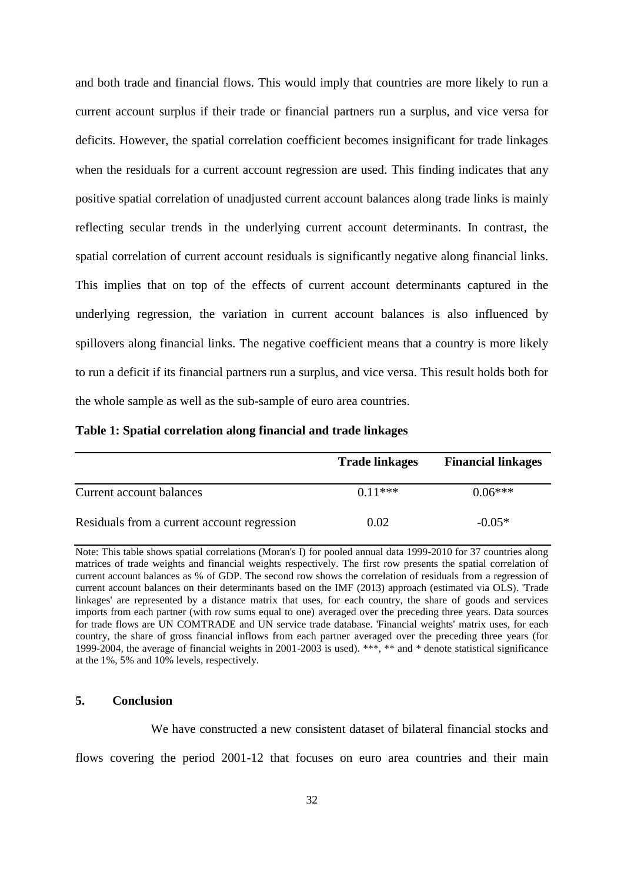and both trade and financial flows. This would imply that countries are more likely to run a current account surplus if their trade or financial partners run a surplus, and vice versa for deficits. However, the spatial correlation coefficient becomes insignificant for trade linkages when the residuals for a current account regression are used. This finding indicates that any positive spatial correlation of unadjusted current account balances along trade links is mainly reflecting secular trends in the underlying current account determinants. In contrast, the spatial correlation of current account residuals is significantly negative along financial links. This implies that on top of the effects of current account determinants captured in the underlying regression, the variation in current account balances is also influenced by spillovers along financial links. The negative coefficient means that a country is more likely to run a deficit if its financial partners run a surplus, and vice versa. This result holds both for the whole sample as well as the sub-sample of euro area countries.

# **Table 1: Spatial correlation along financial and trade linkages**

|                                             | <b>Trade linkages</b> | <b>Financial linkages</b> |
|---------------------------------------------|-----------------------|---------------------------|
| Current account balances                    | $0.11***$             | $0.06***$                 |
| Residuals from a current account regression | 0.02                  | $-0.05*$                  |

Note: This table shows spatial correlations (Moran's I) for pooled annual data 1999-2010 for 37 countries along matrices of trade weights and financial weights respectively. The first row presents the spatial correlation of current account balances as % of GDP. The second row shows the correlation of residuals from a regression of current account balances on their determinants based on the IMF (2013) approach (estimated via OLS). 'Trade linkages' are represented by a distance matrix that uses, for each country, the share of goods and services imports from each partner (with row sums equal to one) averaged over the preceding three years. Data sources for trade flows are UN COMTRADE and UN service trade database. 'Financial weights' matrix uses, for each country, the share of gross financial inflows from each partner averaged over the preceding three years (for 1999-2004, the average of financial weights in 2001-2003 is used). \*\*\*, \*\* and \* denote statistical significance at the 1%, 5% and 10% levels, respectively.

# **5. Conclusion**

We have constructed a new consistent dataset of bilateral financial stocks and flows covering the period 2001-12 that focuses on euro area countries and their main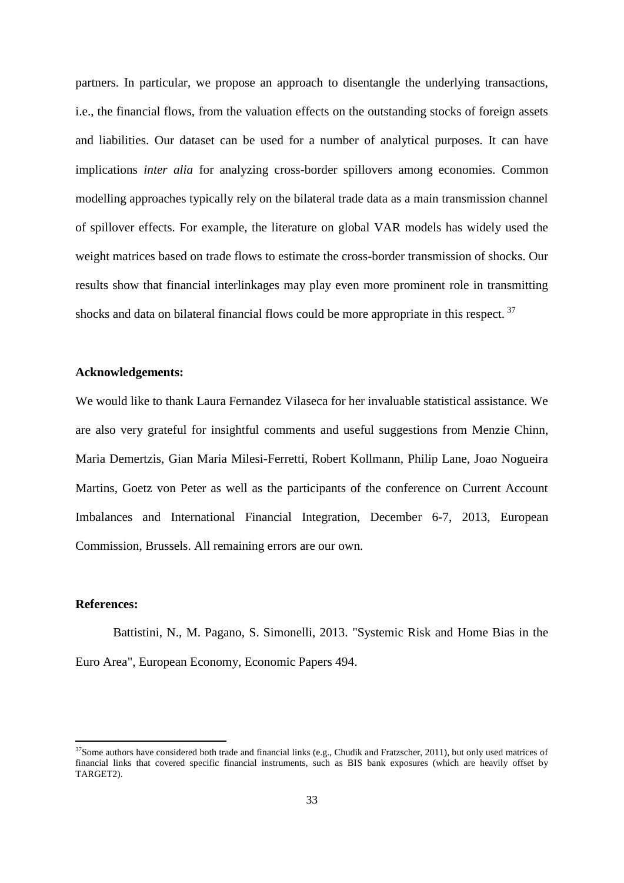partners. In particular, we propose an approach to disentangle the underlying transactions, i.e., the financial flows, from the valuation effects on the outstanding stocks of foreign assets and liabilities. Our dataset can be used for a number of analytical purposes. It can have implications *inter alia* for analyzing cross-border spillovers among economies. Common modelling approaches typically rely on the bilateral trade data as a main transmission channel of spillover effects. For example, the literature on global VAR models has widely used the weight matrices based on trade flows to estimate the cross-border transmission of shocks. Our results show that financial interlinkages may play even more prominent role in transmitting shocks and data on bilateral financial flows could be more appropriate in this respect.<sup>37</sup>

# **Acknowledgements:**

We would like to thank Laura Fernandez Vilaseca for her invaluable statistical assistance. We are also very grateful for insightful comments and useful suggestions from Menzie Chinn, Maria Demertzis, Gian Maria Milesi-Ferretti, Robert Kollmann, Philip Lane, Joao Nogueira Martins, Goetz von Peter as well as the participants of the conference on Current Account Imbalances and International Financial Integration, December 6-7, 2013, European Commission, Brussels. All remaining errors are our own.

### **References:**

**.** 

Battistini, N., M. Pagano, S. Simonelli, 2013. "Systemic Risk and Home Bias in the Euro Area", European Economy, Economic Papers 494.

 $37$ Some authors have considered both trade and financial links (e.g., Chudik and Fratzscher, 2011), but only used matrices of financial links that covered specific financial instruments, such as BIS bank exposures (which are heavily offset by TARGET2).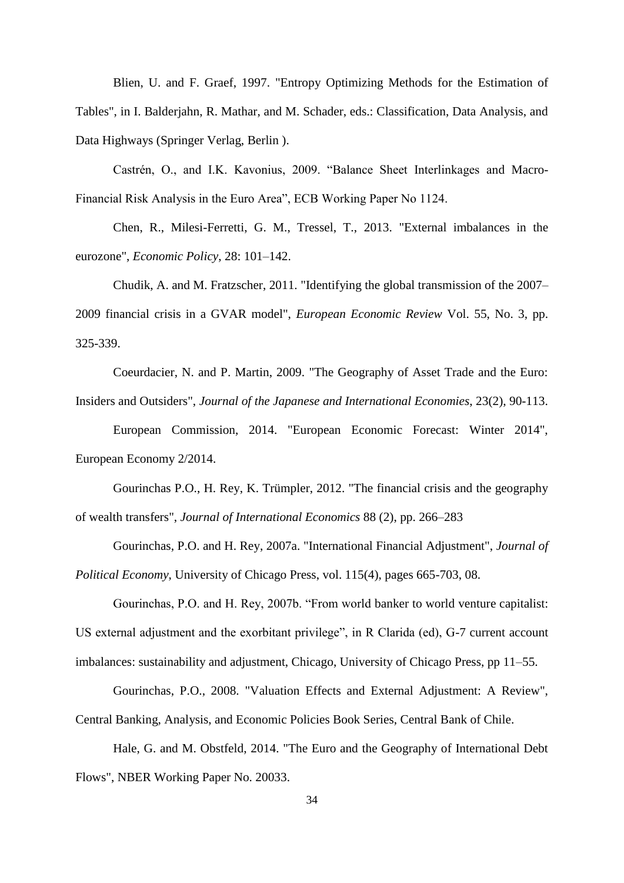Blien, U. and F. Graef, 1997. "Entropy Optimizing Methods for the Estimation of Tables", in I. Balderjahn, R. Mathar, and M. Schader, eds.: Classification, Data Analysis, and Data Highways (Springer Verlag, Berlin ).

Castrén, O., and I.K. Kavonius, 2009. "Balance Sheet Interlinkages and Macro-Financial Risk Analysis in the Euro Area", ECB Working Paper No 1124.

Chen, R., Milesi-Ferretti, G. M., Tressel, T., 2013. "External imbalances in the eurozone", *Economic Policy*, 28: 101–142.

Chudik, A. and M. Fratzscher, 2011. "Identifying the global transmission of the 2007– 2009 financial crisis in a GVAR model", *European Economic Review* Vol. 55, No. 3, pp. 325-339.

Coeurdacier, N. and P. Martin, 2009. "The Geography of Asset Trade and the Euro: Insiders and Outsiders", *Journal of the Japanese and International Economies*, 23(2), 90-113.

European Commission, 2014. "European Economic Forecast: Winter 2014", European Economy 2/2014.

Gourinchas P.O., H. Rey, K. Trümpler, 2012. "The financial crisis and the geography of wealth transfers", *Journal of International Economics* 88 (2), pp. 266–283

Gourinchas, P.O. and H. Rey, 2007a. "International Financial Adjustment", *Journal of Political Economy*, University of Chicago Press, vol. 115(4), pages 665-703, 08.

Gourinchas, P.O. and H. Rey, 2007b. "From world banker to world venture capitalist: US external adjustment and the exorbitant privilege", in R Clarida (ed), G-7 current account imbalances: sustainability and adjustment, Chicago, University of Chicago Press, pp 11–55.

Gourinchas, P.O., 2008. "Valuation Effects and External Adjustment: A Review", Central Banking, Analysis, and Economic Policies Book Series, Central Bank of Chile.

Hale, G. and M. Obstfeld, 2014. "The Euro and the Geography of International Debt Flows", NBER Working Paper No. 20033.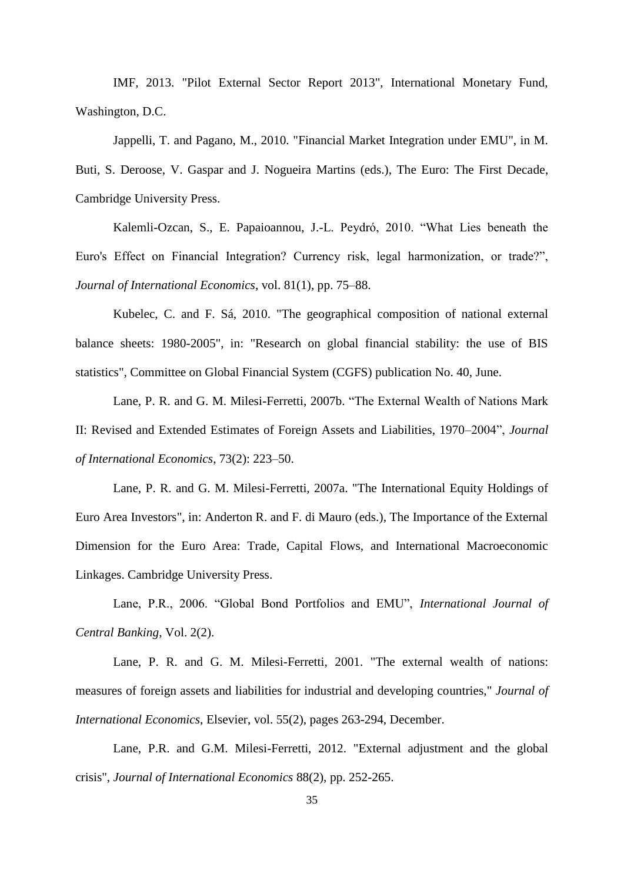IMF, 2013. "Pilot External Sector Report 2013", International Monetary Fund, Washington, D.C.

Jappelli, T. and Pagano, M., 2010. "Financial Market Integration under EMU", in M. Buti, S. Deroose, V. Gaspar and J. Nogueira Martins (eds.), The Euro: The First Decade, Cambridge University Press.

Kalemli-Ozcan, S., E. Papaioannou, J.-L. Peydró, 2010. "What Lies beneath the Euro's Effect on Financial Integration? Currency risk, legal harmonization, or trade?", *Journal of International Economics*, vol. 81(1), pp. 75–88.

Kubelec, C. and F. Sá, 2010. "The geographical composition of national external balance sheets: 1980-2005", in: "Research on global financial stability: the use of BIS statistics", Committee on Global Financial System (CGFS) publication No. 40, June.

Lane, P. R. and G. M. Milesi-Ferretti, 2007b. "The External Wealth of Nations Mark II: Revised and Extended Estimates of Foreign Assets and Liabilities, 1970–2004", *Journal of International Economics*, 73(2): 223–50.

Lane, P. R. and G. M. Milesi-Ferretti, 2007a. "The International Equity Holdings of Euro Area Investors", in: Anderton R. and F. di Mauro (eds.), The Importance of the External Dimension for the Euro Area: Trade, Capital Flows, and International Macroeconomic Linkages. Cambridge University Press.

Lane, P.R., 2006. "Global Bond Portfolios and EMU", *International Journal of Central Banking*, Vol. 2(2).

Lane, P. R. and G. M. Milesi-Ferretti, 2001. "The external wealth of nations: measures of foreign assets and liabilities for industrial and developing countries," *Journal of International Economics*, Elsevier, vol. 55(2), pages 263-294, December.

Lane, P.R. and G.M. Milesi-Ferretti, 2012. "External adjustment and the global crisis", *Journal of International Economics* 88(2), pp. 252-265.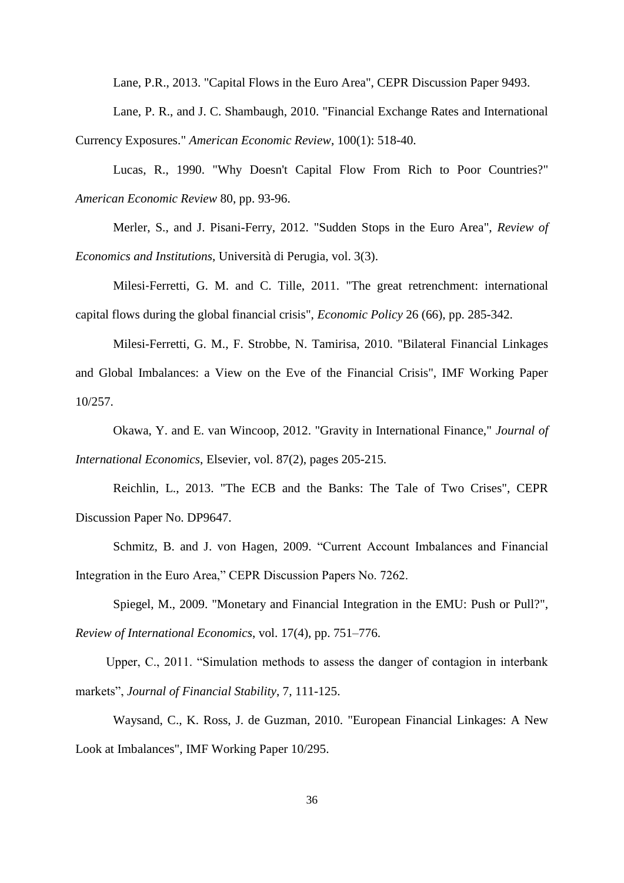Lane, P.R., 2013. "Capital Flows in the Euro Area", CEPR Discussion Paper 9493.

Lane, P. R., and J. C. Shambaugh, 2010. "Financial Exchange Rates and International Currency Exposures." *American Economic Review*, 100(1): 518-40.

Lucas, R., 1990. "Why Doesn't Capital Flow From Rich to Poor Countries?" *American Economic Review* 80, pp. 93-96.

Merler, S., and J. Pisani-Ferry, 2012. "Sudden Stops in the Euro Area", *Review of Economics and Institutions*, Università di Perugia, vol. 3(3).

Milesi-Ferretti, G. M. and C. Tille, 2011. "The great retrenchment: international capital flows during the global financial crisis", *Economic Policy* 26 (66), pp. 285-342.

Milesi-Ferretti, G. M., F. Strobbe, N. Tamirisa, 2010. "Bilateral Financial Linkages and Global Imbalances: a View on the Eve of the Financial Crisis", IMF Working Paper 10/257.

Okawa, Y. and E. van Wincoop, 2012. "Gravity in International Finance," *Journal of International Economics*, Elsevier, vol. 87(2), pages 205-215.

Reichlin, L., 2013. "The ECB and the Banks: The Tale of Two Crises", CEPR Discussion Paper No. DP9647.

Schmitz, B. and J. von Hagen, 2009. "Current Account Imbalances and Financial Integration in the Euro Area," CEPR Discussion Papers No. 7262.

Spiegel, M., 2009. "Monetary and Financial Integration in the EMU: Push or Pull?", *Review of International Economics*, vol. 17(4), pp. 751–776.

Upper, C., 2011. "Simulation methods to assess the danger of contagion in interbank markets", *Journal of Financial Stability*, 7, 111-125.

Waysand, C., K. Ross, J. de Guzman, 2010. "European Financial Linkages: A New Look at Imbalances", IMF Working Paper 10/295.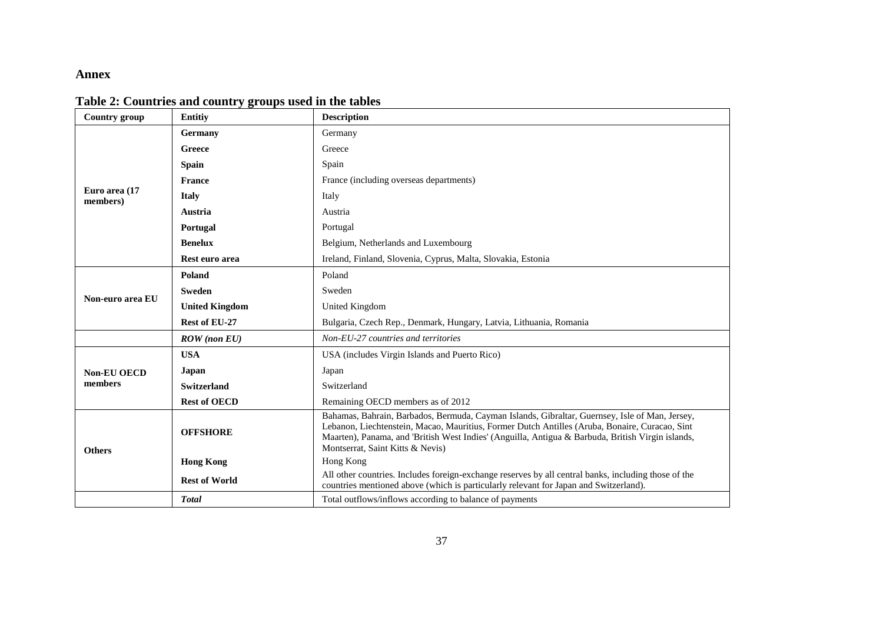# **Annex**

| <b>Country group</b>      | <b>Entitiv</b>        | <b>Description</b>                                                                                                                                                                                                                                                                                                                        |  |  |  |  |  |  |  |
|---------------------------|-----------------------|-------------------------------------------------------------------------------------------------------------------------------------------------------------------------------------------------------------------------------------------------------------------------------------------------------------------------------------------|--|--|--|--|--|--|--|
|                           | Germany               | Germany                                                                                                                                                                                                                                                                                                                                   |  |  |  |  |  |  |  |
|                           | Greece                | Greece                                                                                                                                                                                                                                                                                                                                    |  |  |  |  |  |  |  |
|                           | <b>Spain</b>          | Spain                                                                                                                                                                                                                                                                                                                                     |  |  |  |  |  |  |  |
|                           | <b>France</b>         | France (including overseas departments)                                                                                                                                                                                                                                                                                                   |  |  |  |  |  |  |  |
| Euro area (17<br>members) | <b>Italy</b>          | Italy                                                                                                                                                                                                                                                                                                                                     |  |  |  |  |  |  |  |
|                           | Austria               | Austria                                                                                                                                                                                                                                                                                                                                   |  |  |  |  |  |  |  |
|                           | Portugal              | Portugal                                                                                                                                                                                                                                                                                                                                  |  |  |  |  |  |  |  |
|                           | <b>Benelux</b>        | Belgium, Netherlands and Luxembourg                                                                                                                                                                                                                                                                                                       |  |  |  |  |  |  |  |
|                           | Rest euro area        | Ireland, Finland, Slovenia, Cyprus, Malta, Slovakia, Estonia                                                                                                                                                                                                                                                                              |  |  |  |  |  |  |  |
|                           | Poland                | Poland                                                                                                                                                                                                                                                                                                                                    |  |  |  |  |  |  |  |
| Non-euro area EU          | <b>Sweden</b>         | Sweden                                                                                                                                                                                                                                                                                                                                    |  |  |  |  |  |  |  |
|                           | <b>United Kingdom</b> | United Kingdom                                                                                                                                                                                                                                                                                                                            |  |  |  |  |  |  |  |
|                           | Rest of EU-27         | Bulgaria, Czech Rep., Denmark, Hungary, Latvia, Lithuania, Romania                                                                                                                                                                                                                                                                        |  |  |  |  |  |  |  |
|                           | $ROW$ (non $EU$ )     | Non-EU-27 countries and territories                                                                                                                                                                                                                                                                                                       |  |  |  |  |  |  |  |
|                           | <b>USA</b>            | USA (includes Virgin Islands and Puerto Rico)                                                                                                                                                                                                                                                                                             |  |  |  |  |  |  |  |
| <b>Non-EU OECD</b>        | Japan                 | Japan                                                                                                                                                                                                                                                                                                                                     |  |  |  |  |  |  |  |
| members                   | <b>Switzerland</b>    | Switzerland                                                                                                                                                                                                                                                                                                                               |  |  |  |  |  |  |  |
|                           | <b>Rest of OECD</b>   | Remaining OECD members as of 2012                                                                                                                                                                                                                                                                                                         |  |  |  |  |  |  |  |
| <b>Others</b>             | <b>OFFSHORE</b>       | Bahamas, Bahrain, Barbados, Bermuda, Cayman Islands, Gibraltar, Guernsey, Isle of Man, Jersey,<br>Lebanon, Liechtenstein, Macao, Mauritius, Former Dutch Antilles (Aruba, Bonaire, Curacao, Sint<br>Maarten), Panama, and 'British West Indies' (Anguilla, Antigua & Barbuda, British Virgin islands,<br>Montserrat, Saint Kitts & Nevis) |  |  |  |  |  |  |  |
|                           | <b>Hong Kong</b>      | Hong Kong                                                                                                                                                                                                                                                                                                                                 |  |  |  |  |  |  |  |
|                           | <b>Rest of World</b>  | All other countries. Includes foreign-exchange reserves by all central banks, including those of the<br>countries mentioned above (which is particularly relevant for Japan and Switzerland).                                                                                                                                             |  |  |  |  |  |  |  |
|                           | <b>Total</b>          | Total outflows/inflows according to balance of payments                                                                                                                                                                                                                                                                                   |  |  |  |  |  |  |  |

# <span id="page-36-0"></span>**Table 2: Countries and country groups used in the tables**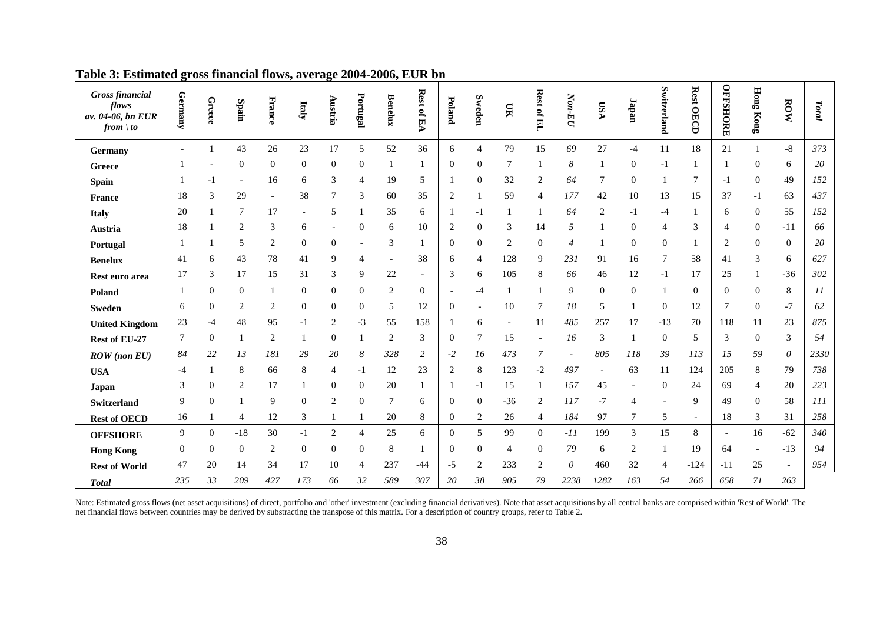| <b>Gross financial</b><br>flows<br>av. 04-06, bn EUR<br>from $\vert$ to | Germany                  | Greece         | Spain                    | France         | Italy            | Austria          | Portugal         | <b>Benelux</b> | <b>Rest</b><br>of EA     | Poland         | Sweden           | $\overline{\mathbf{M}}$ | Rest of EU       | $N$ on-EU                | <b>ASU</b>               | <b><i><u>dapan</u></i></b> | Switzerland              | <b>Rest OECD</b> | <b>OFFSHORE</b>          | <b>Hong Kong</b> | ROW            | Total |
|-------------------------------------------------------------------------|--------------------------|----------------|--------------------------|----------------|------------------|------------------|------------------|----------------|--------------------------|----------------|------------------|-------------------------|------------------|--------------------------|--------------------------|----------------------------|--------------------------|------------------|--------------------------|------------------|----------------|-------|
| Germany                                                                 | $\overline{\phantom{a}}$ |                | 43                       | 26             | 23               | 17               | 5                | 52             | 36                       | 6              | $\overline{4}$   | 79                      | 15               | 69                       | $27\,$                   | $-4$                       | 11                       | 18               | 21                       | $\mathbf{1}$     | $-8$           | 373   |
| Greece                                                                  |                          |                | $\boldsymbol{0}$         | $\overline{0}$ | $\mathbf{0}$     | $\mathbf{0}$     | $\mathbf{0}$     | 1              | 1                        | $\overline{0}$ | $\mathbf{0}$     | 7                       |                  | 8                        |                          | $\mathbf{0}$               | $-1$                     |                  | -1                       | $\Omega$         | 6              | 20    |
| <b>Spain</b>                                                            |                          |                | $\overline{\phantom{a}}$ | 16             | 6                | 3                | 4                | 19             | 5                        |                | $\Omega$         | 32                      | 2                | 64                       | 7                        | $\Omega$                   | 1                        | 7                | $-1$                     | $\Omega$         | 49             | 152   |
| <b>France</b>                                                           | 18                       | 3              | 29                       |                | 38               | 7                | 3                | 60             | 35                       | $\overline{2}$ |                  | 59                      | 4                | 177                      | 42                       | 10                         | 13                       | 15               | 37                       | $-1$             | 63             | 437   |
| <b>Italy</b>                                                            | 20                       |                | 7                        | 17             |                  | 5                | 1                | 35             | 6                        |                | -1               |                         |                  | 64                       | $\overline{c}$           | -1                         | $-4$                     |                  | 6                        | $\theta$         | 55             | 152   |
| Austria                                                                 | 18                       |                | 2                        | 3              | 6                |                  | $\boldsymbol{0}$ | 6              | 10                       | $\overline{2}$ | $\boldsymbol{0}$ | 3                       | 14               | 5                        |                          | $\mathbf{0}$               | $\overline{4}$           | 3                | 4                        | $\theta$         | $-11$          | 66    |
| Portugal                                                                |                          |                | 5                        | $\overline{c}$ | $\boldsymbol{0}$ | $\mathbf{0}$     |                  | 3              | 1                        | $\Omega$       | $\mathbf{0}$     | 2                       | $\boldsymbol{0}$ | 4                        |                          | $\Omega$                   | $\mathbf{0}$             |                  | $\overline{2}$           | $\Omega$         | $\mathbf{0}$   | 20    |
| <b>Benelux</b>                                                          | 41                       | 6              | 43                       | 78             | 41               | 9                | $\overline{4}$   |                | 38                       | 6              | $\overline{4}$   | 128                     | 9                | 231                      | 91                       | 16                         | 7                        | 58               | 41                       | 3                | 6              | 627   |
| Rest euro area                                                          | 17                       | 3              | 17                       | 15             | 31               | 3                | 9                | $22\,$         | $\overline{\phantom{a}}$ | 3              | 6                | 105                     | 8                | 66                       | 46                       | 12                         | $-1$                     | 17               | 25                       |                  | $-36$          | 302   |
| Poland                                                                  |                          | $\theta$       | $\mathbf{0}$             |                | $\mathbf{0}$     | $\mathbf{0}$     | $\boldsymbol{0}$ | $\mathbf{2}$   | $\mathbf{0}$             |                | -4               |                         |                  | 9                        | $\boldsymbol{0}$         | $\mathbf{0}$               | 1                        | $\overline{0}$   | $\overline{0}$           | $\mathbf{0}$     | 8              | 11    |
| <b>Sweden</b>                                                           | 6                        | $\mathbf{0}$   | 2                        | $\overline{c}$ | $\boldsymbol{0}$ | $\boldsymbol{0}$ | $\mathbf{0}$     | 5              | 12                       | $\mathbf{0}$   |                  | 10                      | 7                | 18                       | 5                        |                            | $\boldsymbol{0}$         | 12               | 7                        | $\mathbf{0}$     | $-7$           | 62    |
| <b>United Kingdom</b>                                                   | 23                       | -4             | 48                       | 95             | $-1$             | $\overline{c}$   | $-3$             | 55             | 158                      |                | 6                |                         | 11               | 485                      | 257                      | 17                         | $-13$                    | 70               | 118                      | 11               | 23             | 875   |
| Rest of EU-27                                                           | 7                        | $\theta$       |                          | $\overline{c}$ |                  | $\mathbf{0}$     |                  | $\overline{2}$ | 3                        | $\mathbf{0}$   | 7                | 15                      | $\blacksquare$   | 16                       | 3                        |                            | $\mathbf{0}$             | 5                | 3                        | $\mathbf{0}$     | 3              | 54    |
| $ROW$ (non $EU$ )                                                       | 84                       | 22             | 13                       | 181            | 29               | 20               | $\boldsymbol{8}$ | 328            | $\overline{c}$           | $-2$           | 16               | 473                     | 7                | $\overline{\phantom{a}}$ | 805                      | 118                        | 39                       | 113              | 15                       | 59               | $\theta$       | 2330  |
| <b>USA</b>                                                              | -4                       |                | 8                        | 66             | 8                | 4                | $-1$             | 12             | 23                       | $\overline{2}$ | 8                | 123                     | $-2$             | 497                      | $\overline{\phantom{a}}$ | 63                         | 11                       | 124              | 205                      | 8                | 79             | 738   |
| Japan                                                                   | 3                        | $\Omega$       | 2                        | 17             |                  | $\mathbf{0}$     | $\boldsymbol{0}$ | 20             | 1                        |                | -1               | 15                      |                  | 157                      | 45                       |                            | $\mathbf{0}$             | 24               | 69                       | $\overline{4}$   | 20             | 223   |
| Switzerland                                                             | 9                        | $\Omega$       |                          | 9              | $\overline{0}$   | 2                | $\mathbf{0}$     | 7              | 6                        | $\theta$       | $\overline{0}$   | $-36$                   | 2                | 117                      | $-7$                     | $\overline{\mathcal{A}}$   | $\overline{\phantom{a}}$ | 9                | 49                       | $\Omega$         | 58             | 111   |
| <b>Rest of OECD</b>                                                     | 16                       |                | 4                        | 12             | 3                |                  | 1                | 20             | 8                        | $\theta$       | 2                | 26                      | $\overline{4}$   | 184                      | 97                       | 7                          | 5                        | $\blacksquare$   | 18                       | 3                | 31             | 258   |
| <b>OFFSHORE</b>                                                         | 9                        | $\mathbf{0}$   | $-18$                    | 30             | $-1$             | 2                | $\overline{4}$   | 25             | 6                        | $\mathbf{0}$   | 5                | 99                      | $\overline{0}$   | $-11$                    | 199                      | 3                          | 15                       | 8                | $\overline{\phantom{a}}$ | 16               | $-62$          | 340   |
| <b>Hong Kong</b>                                                        | $\boldsymbol{0}$         | $\overline{0}$ | $\mathbf{0}$             | $\overline{c}$ | $\mathbf{0}$     | $\mathbf{0}$     | $\mathbf{0}$     | 8              | 1                        | $\mathbf{0}$   | $\boldsymbol{0}$ | 4                       | $\boldsymbol{0}$ | 79                       | 6                        | 2                          | $\mathbf{1}$             | 19               | 64                       |                  | $-13$          | 94    |
| <b>Rest of World</b>                                                    | 47                       | 20             | 14                       | 34             | 17               | 10               | 4                | 237            | $-44$                    | -5             | 2                | 233                     | 2                | 0                        | 460                      | 32                         | $\overline{4}$           | $-124$           | $-11$                    | 25               | $\blacksquare$ | 954   |
| <b>Total</b>                                                            | 235                      | 33             | 209                      | 427            | 173              | 66               | 32               | 589            | 307                      | 20             | 38               | 905                     | 79               | 2238                     | 1282                     | 163                        | 54                       | 266              | 658                      | 71               | 263            |       |

| Table 3: Estimated gross financial flows, average 2004-2006, EUR bn |  |  |  |  |
|---------------------------------------------------------------------|--|--|--|--|
|---------------------------------------------------------------------|--|--|--|--|

Note: Estimated gross flows (net asset acquisitions) of direct, portfolio and 'other' investment (excluding financial derivatives). Note that asset acquisitions by all central banks are comprised within 'Rest of World'. The net financial flows between countries may be derived by substracting the transpose of this matrix. For a description of country groups, refer to [Table 2.](#page-36-0)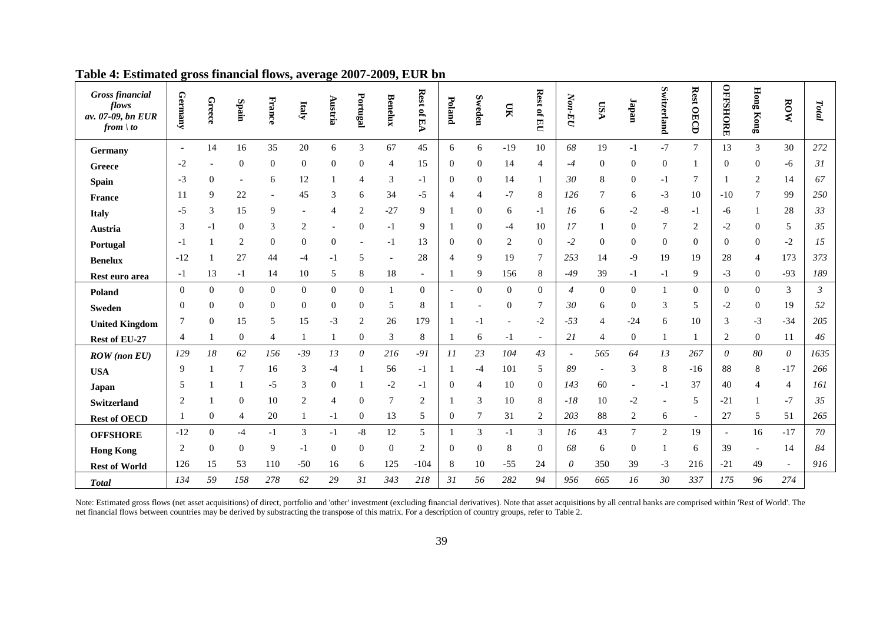| <b>Gross financial</b><br>flows<br>av. 07-09, bn EUR<br>from $\vert$ to | Germany                  | Greece         | Spain                    | France         | Italy            | Austria          | Portugal                  | <b>Benelux</b> | Rest of<br>医<br>V        | Poland           | Sweden         | $\mathbf{N}$   | Rest of EU     | $N$ on-EU      | VSQ | <b><i><u>Tapan</u></i></b> | Switzerland              | <b>Rest OECD</b>         | <b>OFFSHORE</b> | <b>Hong Kong</b> | ROW                   | Total          |
|-------------------------------------------------------------------------|--------------------------|----------------|--------------------------|----------------|------------------|------------------|---------------------------|----------------|--------------------------|------------------|----------------|----------------|----------------|----------------|-----|----------------------------|--------------------------|--------------------------|-----------------|------------------|-----------------------|----------------|
| Germany                                                                 | $\overline{\phantom{a}}$ | 14             | 16                       | 35             | 20               | 6                | $\mathfrak{Z}$            | 67             | 45                       | 6                | 6              | $-19$          | 10             | 68             | 19  | $-1$                       | $-7$                     | $\tau$                   | 13              | $\overline{3}$   | 30                    | 272            |
| Greece                                                                  | $-2$                     |                | $\mathbf{0}$             | $\Omega$       | $\boldsymbol{0}$ | $\Omega$         | $\boldsymbol{0}$          | 4              | 15                       | $\theta$         | 0              | 14             | 4              | $-4$           | 0   | $\Omega$                   | $\boldsymbol{0}$         |                          | $\mathbf{0}$    | $\Omega$         | -6                    | 31             |
| <b>Spain</b>                                                            | $-3$                     | $\overline{0}$ | $\overline{\phantom{a}}$ | 6              | 12               |                  | 4                         | 3              | $-1$                     | $\theta$         | 0              | 14             |                | 30             | 8   | $\overline{0}$             | $-1$                     | 7                        |                 | 2                | 14                    | 67             |
| <b>France</b>                                                           | 11                       | 9              | 22                       |                | 45               | 3                | 6                         | 34             | $-5$                     |                  | 4              | $-7$           | 8              | 126            | 7   | 6                          | $-3$                     | 10                       | $-10$           | 7                | 99                    | 250            |
| <b>Italy</b>                                                            | -5                       | 3              | 15                       | 9              |                  | 4                | $\overline{c}$            | $-27$          | 9                        |                  | $\overline{0}$ | 6              | -1             | 16             | 6   | -2                         | $-8$                     | -1                       | -6              |                  | 28                    | 33             |
| Austria                                                                 | 3                        | -1             | $\mathbf{0}$             | 3              | $\overline{2}$   |                  | $\overline{0}$            | $-1$           | 9                        |                  | $\Omega$       | -4             | 10             | 17             |     | $\Omega$                   | 7                        | 2                        | $-2$            | $\theta$         | 5                     | 35             |
| Portugal                                                                | -1                       |                | 2                        | $\overline{0}$ | $\boldsymbol{0}$ | $\boldsymbol{0}$ |                           | $-1$           | 13                       | 0                | 0              | $\overline{c}$ | $\mathbf{0}$   | $-2$           | 0   | $\Omega$                   | $\boldsymbol{0}$         | $\theta$                 | $\mathbf{0}$    | $\theta$         | $-2$                  | 15             |
| <b>Benelux</b>                                                          | $-12$                    |                | 27                       | 44             | -4               | -1               | 5                         | ÷,             | 28                       | 4                | 9              | 19             | $\tau$         | 253            | 14  | -9                         | 19                       | 19                       | 28              | 4                | 173                   | 373            |
| Rest euro area                                                          | -1                       | 13             | $-1$                     | 14             | 10               | 5                | 8                         | $18\,$         | $\overline{\phantom{a}}$ |                  | 9              | 156            | 8              | $-49$          | 39  | -1                         | -1                       | 9                        | $-3$            | $\theta$         | $-93$                 | 189            |
| Poland                                                                  | $\mathbf{0}$             | $\mathbf{0}$   | $\mathbf{0}$             | $\mathbf{0}$   | $\boldsymbol{0}$ | $\theta$         | $\mathbf{0}$              |                | $\overline{0}$           |                  | $\overline{0}$ | $\overline{0}$ | $\overline{0}$ | 4              | 0   | $\mathbf{0}$               | $\mathbf{1}$             | $\overline{0}$           | $\overline{0}$  | $\overline{0}$   | 3                     | $\mathfrak{Z}$ |
| <b>Sweden</b>                                                           | $\boldsymbol{0}$         | $\overline{0}$ | $\mathbf{0}$             | $\overline{0}$ | $\mathbf{0}$     | $\overline{0}$   | $\boldsymbol{0}$          | 5              | 8                        |                  |                | $\theta$       | 7              | 30             | 6   | $\overline{0}$             | 3                        | 5                        | $-2$            | $\theta$         | 19                    | 52             |
| <b>United Kingdom</b>                                                   |                          | $\Omega$       | 15                       | 5              | 15               | $-3$             | $\overline{2}$            | 26             | 179                      |                  |                |                | $-2$           | $-53$          | 4   | $-24$                      | 6                        | 10                       | 3               | $-3$             | $-34$                 | 205            |
| Rest of EU-27                                                           | 4                        |                | $\boldsymbol{0}$         | 4              |                  |                  | $\boldsymbol{0}$          | 3              | 8                        |                  | 6              | -1             | $\overline{a}$ | 21             | 4   | $\mathbf{0}$               | -1                       |                          | $\sqrt{2}$      | $\theta$         | 11                    | 46             |
| <b>ROW</b> (non EU)                                                     | 129                      | 18             | 62                       | 156            | $-39$            | 13               | $\boldsymbol{\mathit{0}}$ | 216            | $-91$                    | $_{II}$          | 23             | 104            | 43             | $\overline{a}$ | 565 | 64                         | 13                       | 267                      | $\theta$        | 80               | $\boldsymbol{\theta}$ | 1635           |
| <b>USA</b>                                                              | 9                        |                | 7                        | 16             | 3                | $-4$             |                           | 56             | $-1$                     |                  | $-4$           | 101            | 5              | 89             |     | 3                          | $\,8\,$                  | $-16$                    | 88              | 8                | $-17$                 | 266            |
| Japan                                                                   | 5                        |                |                          | $-5$           | 3                | $\theta$         |                           | $-2$           | -1                       | $\Omega$         | 4              | 10             | $\overline{0}$ | 143            | 60  |                            | $-1$                     | 37                       | 40              | Δ                | $\overline{4}$        | 161            |
| <b>Switzerland</b>                                                      | $\overline{2}$           |                | $\mathbf{0}$             | 10             | $\overline{2}$   | $\overline{4}$   | $\mathbf{0}$              | 7              | 2                        |                  | 3              | 10             | 8              | $-18$          | 10  | $-2$                       | $\overline{\phantom{a}}$ | 5                        | $-21$           |                  | $-7$                  | 35             |
| <b>Rest of OECD</b>                                                     |                          | $\mathbf{0}$   | 4                        | 20             |                  | $-1$             | $\boldsymbol{0}$          | 13             | 5                        | $\boldsymbol{0}$ | 7              | 31             | $\overline{c}$ | 203            | 88  | 2                          | 6                        | $\overline{\phantom{a}}$ | 27              | 5                | 51                    | 265            |
| <b>OFFSHORE</b>                                                         | $-12$                    | $\mathbf{0}$   | $-4$                     | $-1$           | 3                | $-1$             | $-8$                      | 12             | 5                        |                  | 3              | $-1$           | 3              | 16             | 43  | 7                          | 2                        | 19                       | $\equiv$        | 16               | $-17$                 | 70             |
| <b>Hong Kong</b>                                                        | $\overline{2}$           | $\mathbf{0}$   | $\mathbf{0}$             | 9              | -1               | $\mathbf{0}$     | $\boldsymbol{0}$          | $\Omega$       | $\overline{c}$           | 0                | 0              | 8              | $\mathbf{0}$   | 68             | 6   | $\Omega$                   | -1                       | 6                        | 39              |                  | 14                    | 84             |
| <b>Rest of World</b>                                                    | 126                      | 15             | 53                       | 110            | $-50$            | 16               | 6                         | 125            | $-104$                   | 8                | 10             | $-55$          | 24             | 0              | 350 | 39                         | $-3$                     | 216                      | $-21$           | 49               | $\sim$                | 916            |
| <b>Total</b>                                                            | 134                      | 59             | 158                      | 278            | 62               | 29               | 31                        | 343            | 218                      | 31               | 56             | 282            | 94             | 956            | 665 | 16                         | 30                       | 337                      | 175             | 96               | 274                   |                |

| Table 4: Estimated gross financial flows, average 2007-2009, EUR bn |  |  |  |  |
|---------------------------------------------------------------------|--|--|--|--|
|---------------------------------------------------------------------|--|--|--|--|

Note: Estimated gross flows (net asset acquisitions) of direct, portfolio and 'other' investment (excluding financial derivatives). Note that asset acquisitions by all central banks are comprised within 'Rest of World'. The net financial flows between countries may be derived by substracting the transpose of this matrix. For a description of country groups, refer to [Table 2.](#page-36-0)